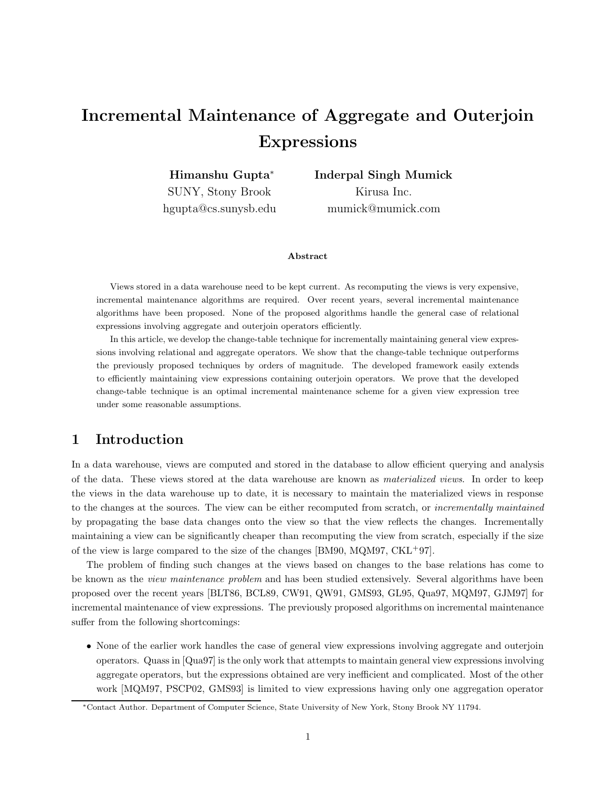# Incremental Maintenance of Aggregate and Outerjoin Expressions

Himanshu Gupta<sup>∗</sup> SUNY, Stony Brook hgupta@cs.sunysb.edu Inderpal Singh Mumick Kirusa Inc. mumick@mumick.com

#### Abstract

Views stored in a data warehouse need to be kept current. As recomputing the views is very expensive, incremental maintenance algorithms are required. Over recent years, several incremental maintenance algorithms have been proposed. None of the proposed algorithms handle the general case of relational expressions involving aggregate and outerjoin operators efficiently.

In this article, we develop the change-table technique for incrementally maintaining general view expressions involving relational and aggregate operators. We show that the change-table technique outperforms the previously proposed techniques by orders of magnitude. The developed framework easily extends to efficiently maintaining view expressions containing outerjoin operators. We prove that the developed change-table technique is an optimal incremental maintenance scheme for a given view expression tree under some reasonable assumptions.

# 1 Introduction

In a data warehouse, views are computed and stored in the database to allow efficient querying and analysis of the data. These views stored at the data warehouse are known as materialized views. In order to keep the views in the data warehouse up to date, it is necessary to maintain the materialized views in response to the changes at the sources. The view can be either recomputed from scratch, or *incrementally maintained* by propagating the base data changes onto the view so that the view reflects the changes. Incrementally maintaining a view can be significantly cheaper than recomputing the view from scratch, especially if the size of the view is large compared to the size of the changes  $[BM90, MQM97, CKL<sup>+</sup>97]$ .

The problem of finding such changes at the views based on changes to the base relations has come to be known as the *view maintenance problem* and has been studied extensively. Several algorithms have been proposed over the recent years [BLT86, BCL89, CW91, QW91, GMS93, GL95, Qua97, MQM97, GJM97] for incremental maintenance of view expressions. The previously proposed algorithms on incremental maintenance suffer from the following shortcomings:

• None of the earlier work handles the case of general view expressions involving aggregate and outerjoin operators. Quass in [Qua97] is the only work that attempts to maintain general view expressions involving aggregate operators, but the expressions obtained are very inefficient and complicated. Most of the other work [MQM97, PSCP02, GMS93] is limited to view expressions having only one aggregation operator

<sup>∗</sup>Contact Author. Department of Computer Science, State University of New York, Stony Brook NY 11794.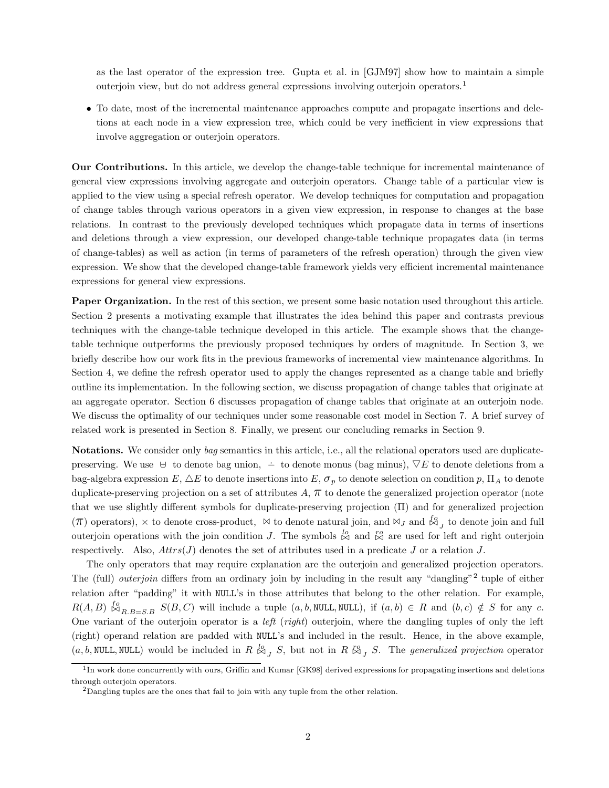as the last operator of the expression tree. Gupta et al. in [GJM97] show how to maintain a simple outerjoin view, but do not address general expressions involving outerjoin operators.<sup>1</sup>

• To date, most of the incremental maintenance approaches compute and propagate insertions and deletions at each node in a view expression tree, which could be very inefficient in view expressions that involve aggregation or outerjoin operators.

Our Contributions. In this article, we develop the change-table technique for incremental maintenance of general view expressions involving aggregate and outerjoin operators. Change table of a particular view is applied to the view using a special refresh operator. We develop techniques for computation and propagation of change tables through various operators in a given view expression, in response to changes at the base relations. In contrast to the previously developed techniques which propagate data in terms of insertions and deletions through a view expression, our developed change-table technique propagates data (in terms of change-tables) as well as action (in terms of parameters of the refresh operation) through the given view expression. We show that the developed change-table framework yields very efficient incremental maintenance expressions for general view expressions.

Paper Organization. In the rest of this section, we present some basic notation used throughout this article. Section 2 presents a motivating example that illustrates the idea behind this paper and contrasts previous techniques with the change-table technique developed in this article. The example shows that the changetable technique outperforms the previously proposed techniques by orders of magnitude. In Section 3, we briefly describe how our work fits in the previous frameworks of incremental view maintenance algorithms. In Section 4, we define the refresh operator used to apply the changes represented as a change table and briefly outline its implementation. In the following section, we discuss propagation of change tables that originate at an aggregate operator. Section 6 discusses propagation of change tables that originate at an outerjoin node. We discuss the optimality of our techniques under some reasonable cost model in Section 7. A brief survey of related work is presented in Section 8. Finally, we present our concluding remarks in Section 9.

Notations. We consider only bag semantics in this article, i.e., all the relational operators used are duplicatepreserving. We use  $\forall$  to denote bag union,  $\div$  to denote monus (bag minus),  $\nabla E$  to denote deletions from a bag-algebra expression  $E, \Delta E$  to denote insertions into  $E, \sigma_p$  to denote selection on condition p,  $\Pi_A$  to denote duplicate-preserving projection on a set of attributes  $A, \pi$  to denote the generalized projection operator (note that we use slightly different symbols for duplicate-preserving projection (Π) and for generalized projection ( $\pi$ ) operators),  $\times$  to denote cross-product,  $\bowtie$  to denote natural join, and  $\bowtie$ <sub>J</sub> and  $\mathcal{L}_{\mathcal{J}}$  to denote join and full outerjoin operations with the join condition J. The symbols  $\stackrel{lo}{\bowtie}$  and  $\stackrel{ro}{\bowtie}$  are used for left and right outerjoin respectively. Also,  $Attrs(J)$  denotes the set of attributes used in a predicate J or a relation J.

The only operators that may require explanation are the outerjoin and generalized projection operators. The (full) *outerjoin* differs from an ordinary join by including in the result any "dangling"<sup>2</sup> tuple of either relation after "padding" it with NULL's in those attributes that belong to the other relation. For example,  $R(A, B) \nleq_{R,B=S,B} S(B, C)$  will include a tuple  $(a, b, \text{NULL}, \text{NULL})$ , if  $(a, b) \in R$  and  $(b, c) \notin S$  for any c. One variant of the outerjoin operator is a *left* (*right*) outerjoin, where the dangling tuples of only the left (right) operand relation are padded with NULL's and included in the result. Hence, in the above example,  $(a, b, \text{NULL}, \text{NULL})$  would be included in  $R \overset{lo}{\bowtie}_J S$ , but not in  $R \overset{co}{\bowtie}_J S$ . The *generalized projection* operator

<sup>&</sup>lt;sup>1</sup>In work done concurrently with ours, Griffin and Kumar [GK98] derived expressions for propagating insertions and deletions through outerjoin operators.

<sup>&</sup>lt;sup>2</sup>Dangling tuples are the ones that fail to join with any tuple from the other relation.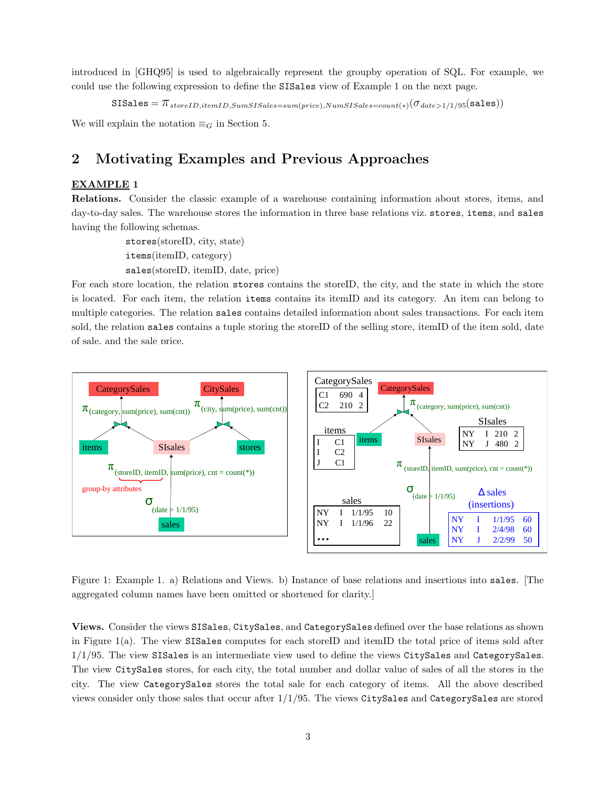introduced in [GHQ95] is used to algebraically represent the groupby operation of SQL. For example, we could use the following expression to define the SISales view of Example 1 on the next page.

 $SISales = \pi_{storeID,itemID,SumSISales = sum(price),NumSISales = count(*)(\sigma_{date>1/1/95}(sales))$ 

We will explain the notation  $\equiv_G$  in Section 5.

# 2 Motivating Examples and Previous Approaches

### EXAMPLE 1

Relations. Consider the classic example of a warehouse containing information about stores, items, and day-to-day sales. The warehouse stores the information in three base relations viz. stores, items, and sales having the following schemas.

> stores(storeID, city, state) items(itemID, category) sales(storeID, itemID, date, price)

For each store location, the relation stores contains the storeID, the city, and the state in which the store is located. For each item, the relation items contains its itemID and its category. An item can belong to multiple categories. The relation sales contains detailed information about sales transactions. For each item sold, the relation sales contains a tuple storing the storeID of the selling store, itemID of the item sold, date of sale, and the sale price.



Figure 1: Example 1. a) Relations and Views. b) Instance of base relations and insertions into sales. [The aggregated column names have been omitted or shortened for clarity.]

Views. Consider the views SISales, CitySales, and CategorySales defined over the base relations as shown in Figure 1(a). The view SISales computes for each storeID and itemID the total price of items sold after 1/1/95. The view SISales is an intermediate view used to define the views CitySales and CategorySales. The view CitySales stores, for each city, the total number and dollar value of sales of all the stores in the city. The view CategorySales stores the total sale for each category of items. All the above described views consider only those sales that occur after 1/1/95. The views CitySales and CategorySales are stored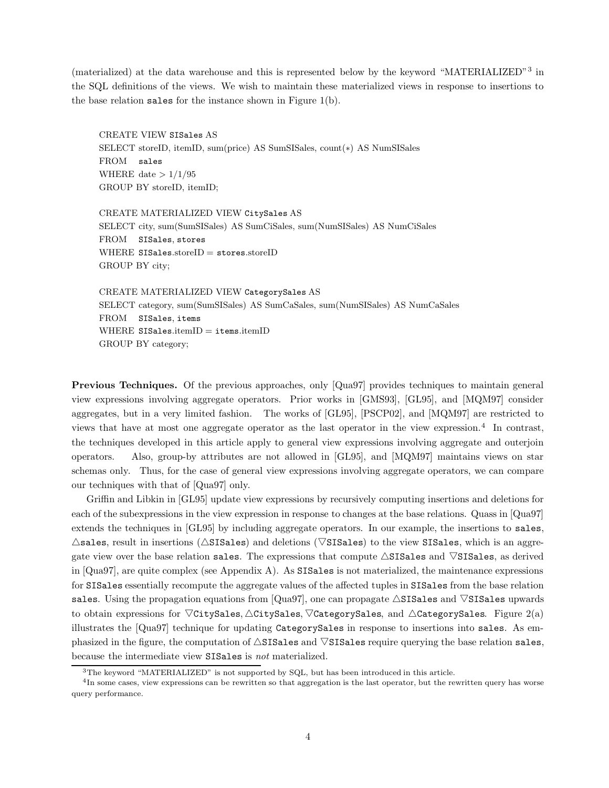(materialized) at the data warehouse and this is represented below by the keyword "MATERIALIZED"<sup>3</sup> in the SQL definitions of the views. We wish to maintain these materialized views in response to insertions to the base relation sales for the instance shown in Figure 1(b).

CREATE VIEW SISales AS SELECT storeID, itemID, sum(price) AS SumSISales, count(∗) AS NumSISales FROM sales WHERE date  $> 1/1/95$ GROUP BY storeID, itemID;

CREATE MATERIALIZED VIEW CitySales AS SELECT city, sum(SumSISales) AS SumCiSales, sum(NumSISales) AS NumCiSales FROM SISales, stores WHERE SISales.storeID = stores.storeID GROUP BY city;

CREATE MATERIALIZED VIEW CategorySales AS SELECT category, sum(SumSISales) AS SumCaSales, sum(NumSISales) AS NumCaSales FROM SISales, items WHERE SISales.itemID  $=$  items.itemID GROUP BY category;

Previous Techniques. Of the previous approaches, only [Qua97] provides techniques to maintain general view expressions involving aggregate operators. Prior works in [GMS93], [GL95], and [MQM97] consider aggregates, but in a very limited fashion. The works of [GL95], [PSCP02], and [MQM97] are restricted to views that have at most one aggregate operator as the last operator in the view expression.<sup>4</sup> In contrast, the techniques developed in this article apply to general view expressions involving aggregate and outerjoin operators. Also, group-by attributes are not allowed in [GL95], and [MQM97] maintains views on star schemas only. Thus, for the case of general view expressions involving aggregate operators, we can compare our techniques with that of [Qua97] only.

Griffin and Libkin in [GL95] update view expressions by recursively computing insertions and deletions for each of the subexpressions in the view expression in response to changes at the base relations. Quass in [Qua97] extends the techniques in [GL95] by including aggregate operators. In our example, the insertions to sales,  $\triangle$ sales, result in insertions ( $\triangle$ SISales) and deletions ( $\nabla$ SISales) to the view SISales, which is an aggregate view over the base relation sales. The expressions that compute  $\triangle$ SISales and  $\nabla$ SISales, as derived in [Qua97], are quite complex (see Appendix A). As SISales is not materialized, the maintenance expressions for SISales essentially recompute the aggregate values of the affected tuples in SISales from the base relation sales. Using the propagation equations from [Qua97], one can propagate  $\triangle$ SISales and  $\nabla$ SISales upwards to obtain expressions for  $\nabla$ CitySales,  $\triangle$ CitySales,  $\nabla$ CategorySales, and  $\triangle$ CategorySales. Figure 2(a) illustrates the [Qua97] technique for updating CategorySales in response to insertions into sales. As emphasized in the figure, the computation of  $\triangle$ SISales and  $\nabla$ SISales require querying the base relation sales, because the intermediate view SISales is not materialized.

<sup>&</sup>lt;sup>3</sup>The keyword "MATERIALIZED" is not supported by SQL, but has been introduced in this article.

<sup>&</sup>lt;sup>4</sup>In some cases, view expressions can be rewritten so that aggregation is the last operator, but the rewritten query has worse query performance.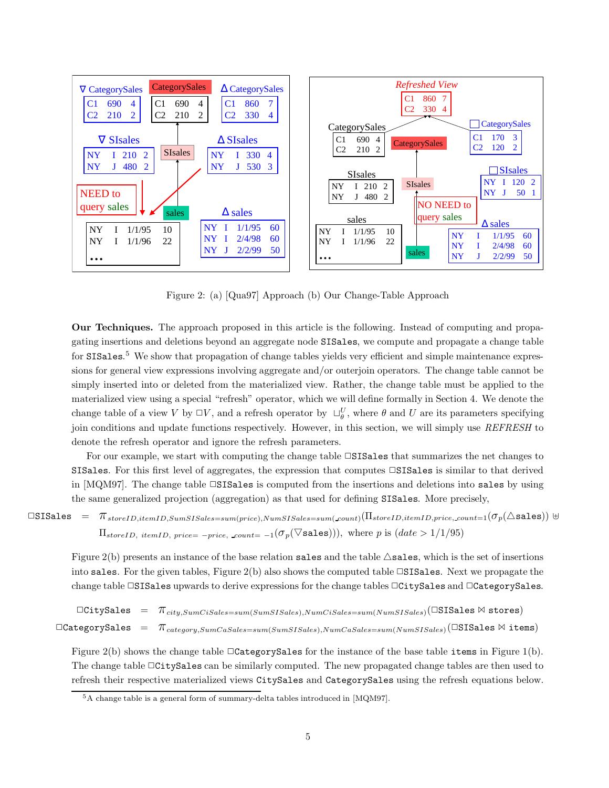

Figure 2: (a) [Qua97] Approach (b) Our Change-Table Approach

Our Techniques. The approach proposed in this article is the following. Instead of computing and propagating insertions and deletions beyond an aggregate node SISales, we compute and propagate a change table for SISales.<sup>5</sup> We show that propagation of change tables yields very efficient and simple maintenance expressions for general view expressions involving aggregate and/or outerjoin operators. The change table cannot be simply inserted into or deleted from the materialized view. Rather, the change table must be applied to the materialized view using a special "refresh" operator, which we will define formally in Section 4. We denote the change table of a view V by  $\Box V$ , and a refresh operator by  $\Box_{\theta}^U$ , where  $\theta$  and U are its parameters specifying join conditions and update functions respectively. However, in this section, we will simply use REFRESH to denote the refresh operator and ignore the refresh parameters.

For our example, we start with computing the change table  $\square$ SISales that summarizes the net changes to SISales. For this first level of aggregates, the expression that computes  $\Box$ SISales is similar to that derived in [MQM97]. The change table □SISales is computed from the insertions and deletions into sales by using the same generalized projection (aggregation) as that used for defining SISales. More precisely,

 $\Box$ SISales =  $\pi_{\text{storeID},\text{itemID},\text{SumSIS} \text{ales}=\text{sum}(\text{price}),\text{NumSIS} \text{ales}=\text{sum}(\text{count})\left(\Pi_{\text{storeID},\text{itemID},\text{price},\text{count}=1}(\sigma_p(\triangle \text{sales}))\right)$  $\Pi_{storeID, itemID, price= -price, count=-1}(\sigma_p(\nabla sales))),$  where p is  $(data > 1/1/95)$ 

Figure 2(b) presents an instance of the base relation sales and the table  $\triangle$ sales, which is the set of insertions into sales. For the given tables, Figure 2(b) also shows the computed table  $\square$ SISales. Next we propagate the change table  $\Box$ SISales upwards to derive expressions for the change tables  $\Box$ CitySales and  $\Box$ CategorySales.

 $\Box$ CitySales =  $\pi_{city,SumCisales=sum(SumsISales),NumCisales=sum(NumsISales)(\Box SISales \Join Stores)$  $\Box$ CategorySales =  $\pi_{category,SumCasales=sum(SumSISales),NumCasSales=sum(NumSISales)}(\Box$ SISales  $\land$  items)

Figure 2(b) shows the change table  $\Box$ CategorySales for the instance of the base table items in Figure 1(b). The change table  $\Box$ CitySales can be similarly computed. The new propagated change tables are then used to refresh their respective materialized views CitySales and CategorySales using the refresh equations below.

<sup>5</sup>A change table is a general form of summary-delta tables introduced in [MQM97].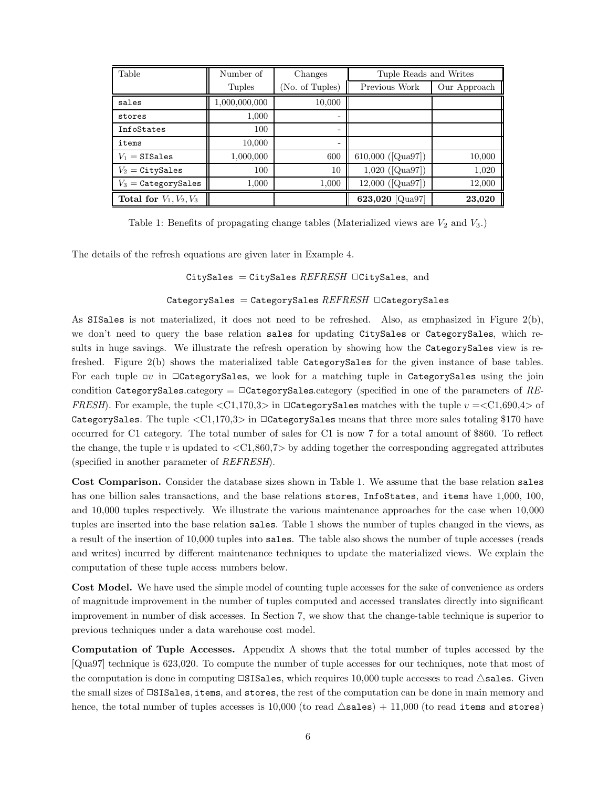| Table                     | Number of     | Changes         | Tuple Reads and Writes |              |
|---------------------------|---------------|-----------------|------------------------|--------------|
|                           | Tuples        | (No. of Tuples) | Previous Work          | Our Approach |
| sales                     | 1,000,000,000 | 10,000          |                        |              |
| stores                    | 1,000         |                 |                        |              |
| InfoStates                | 100           | -               |                        |              |
| items                     | 10,000        |                 |                        |              |
| $V_1$ = SISales           | 1,000,000     | 600             | 610,000 ( $[Qua97]$ )  | 10,000       |
| $V_2$ = CitySales         | 100           | 10              | $1,020$ ([Qua97])      | 1,020        |
| $V_3$ = CategorySales     | 1,000         | 1,000           | $12,000$ ([Qua97])     | 12,000       |
| Total for $V_1, V_2, V_3$ |               |                 | 623,020 [Qua97]        | 23,020       |

Table 1: Benefits of propagating change tables (Materialized views are  $V_2$  and  $V_3$ .)

The details of the refresh equations are given later in Example 4.

#### CitySales = CitySales  $REFRESH$   $\Box$ CitySales, and

#### CategorySales = CategorySales  $REFRESH$   $\Box$ CategorySales

As SISales is not materialized, it does not need to be refreshed. Also, as emphasized in Figure 2(b), we don't need to query the base relation sales for updating CitySales or CategorySales, which results in huge savings. We illustrate the refresh operation by showing how the CategorySales view is refreshed. Figure 2(b) shows the materialized table CategorySales for the given instance of base tables. For each tuple  $\Box v$  in  $\Box$ CategorySales, we look for a matching tuple in CategorySales using the join condition CategorySales.category =  $\Box$ CategorySales.category (specified in one of the parameters of RE-FRESH). For example, the tuple  $\langle C1,170,3\rangle$  in  $\Box$ CategorySales matches with the tuple  $v = \langle C1,690,4\rangle$  of CategorySales. The tuple  $\langle C1,170,3\rangle$  in  $\Box$ CategorySales means that three more sales totaling \$170 have occurred for C1 category. The total number of sales for C1 is now 7 for a total amount of \$860. To reflect the change, the tuple v is updated to  $\langle C1,860,7 \rangle$  by adding together the corresponding aggregated attributes (specified in another parameter of REFRESH).

Cost Comparison. Consider the database sizes shown in Table 1. We assume that the base relation sales has one billion sales transactions, and the base relations stores, InfoStates, and items have 1,000, 100, and 10,000 tuples respectively. We illustrate the various maintenance approaches for the case when 10,000 tuples are inserted into the base relation sales. Table 1 shows the number of tuples changed in the views, as a result of the insertion of 10,000 tuples into sales. The table also shows the number of tuple accesses (reads and writes) incurred by different maintenance techniques to update the materialized views. We explain the computation of these tuple access numbers below.

Cost Model. We have used the simple model of counting tuple accesses for the sake of convenience as orders of magnitude improvement in the number of tuples computed and accessed translates directly into significant improvement in number of disk accesses. In Section 7, we show that the change-table technique is superior to previous techniques under a data warehouse cost model.

Computation of Tuple Accesses. Appendix A shows that the total number of tuples accessed by the [Qua97] technique is 623,020. To compute the number of tuple accesses for our techniques, note that most of the computation is done in computing  $\square$ SISales, which requires 10,000 tuple accesses to read  $\triangle$ sales. Given the small sizes of  $\Box$ SISales, items, and stores, the rest of the computation can be done in main memory and hence, the total number of tuples accesses is 10,000 (to read  $\triangle$ sales) + 11,000 (to read items and stores)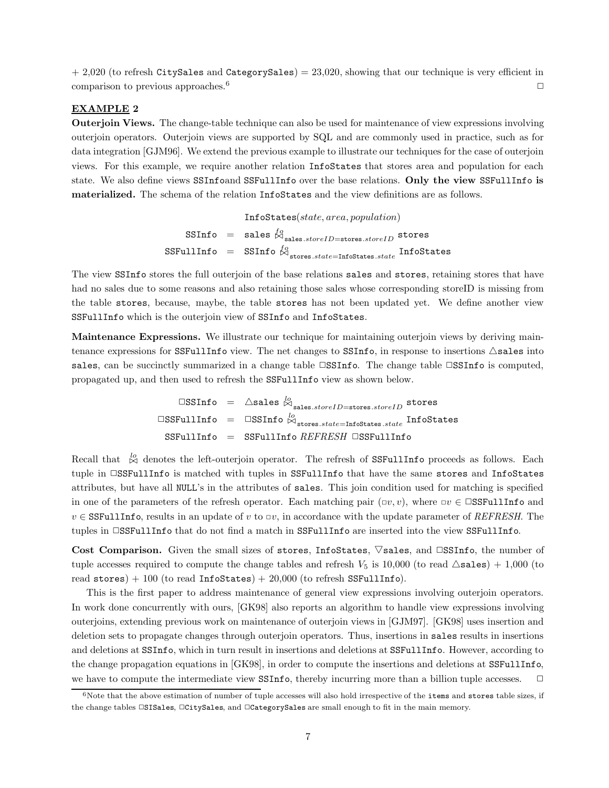$+ 2,020$  (to refresh CitySales and CategorySales) = 23,020, showing that our technique is very efficient in comparison to previous approaches.<sup>6</sup>  $\Box$ 

#### EXAMPLE 2

Outerjoin Views. The change-table technique can also be used for maintenance of view expressions involving outerjoin operators. Outerjoin views are supported by SQL and are commonly used in practice, such as for data integration [GJM96]. We extend the previous example to illustrate our techniques for the case of outerjoin views. For this example, we require another relation InfoStates that stores area and population for each state. We also define views SSInfoand SSFullInfo over the base relations. Only the view SSFullInfo is materialized. The schema of the relation InfoStates and the view definitions are as follows.

> InfoStates(state, area, population)  $\texttt{SSInfo} \;\; = \;\; \texttt{sales} \; \overset{fo}{\bowtie}_{\texttt{sales}.\mathit{storeID} = \texttt{stores}.\mathit{storeID}} \; \texttt{stores}$  $\texttt{SSFullInfo} \;\; = \;\; \texttt{SSInfo} \; \overset{f_Q}{\Join_{\texttt{stores}}}. \mathit{state} = \texttt{InfoStates}. \mathit{state} \; \; \texttt{InfoStates}$

The view SSInfo stores the full outerjoin of the base relations sales and stores, retaining stores that have had no sales due to some reasons and also retaining those sales whose corresponding storeID is missing from the table stores, because, maybe, the table stores has not been updated yet. We define another view SSFullInfo which is the outerjoin view of SSInfo and InfoStates.

Maintenance Expressions. We illustrate our technique for maintaining outerjoin views by deriving maintenance expressions for SSFullInfo view. The net changes to SSInfo, in response to insertions  $\triangle$ sales into sales, can be succinctly summarized in a change table  $\square$ SSInfo. The change table  $\square$ SSInfo is computed, propagated up, and then used to refresh the SSFullInfo view as shown below.

> $\Box \texttt{SSInfo} \;\; = \;\; \triangle \texttt{sales} \; \overset{lo}{\bowtie}_{\texttt{sales}.\mathit{storeID} = \texttt{stores}.\mathit{storeID}} \; \texttt{stores}$  $\Box \text{SSEullInfo} \;\; = \;\; \Box \text{SSInfo} \; \overset{lo}{\Join} _{\text{stores}.state=Info\text{States}.state} \; \text{InfoStates}$  $SSEu11Info = SSEu11Info REFRESH \cup SSEu11Info$

Recall that  $\stackrel{lo}{\bowtie}$  denotes the left-outerjoin operator. The refresh of SSFullInfo proceeds as follows. Each tuple in  $\square$ SSFullInfo is matched with tuples in SSFullInfo that have the same stores and InfoStates attributes, but have all NULL's in the attributes of sales. This join condition used for matching is specified in one of the parameters of the refresh operator. Each matching pair  $(\neg v, v)$ , where  $\neg v \in \Box$ SSFullInfo and  $v \in \text{SSEullInfo}$ , results in an update of v to  $\Box v$ , in accordance with the update parameter of REFRESH. The tuples in ✷SSFullInfo that do not find a match in SSFullInfo are inserted into the view SSFullInfo.

Cost Comparison. Given the small sizes of stores, InfoStates,  $\nabla$ sales, and  $\square$ SSInfo, the number of tuple accesses required to compute the change tables and refresh  $V_5$  is 10,000 (to read  $\triangle$ sales) + 1,000 (to read stores) + 100 (to read InfoStates) + 20,000 (to refresh SSFullInfo).

This is the first paper to address maintenance of general view expressions involving outerjoin operators. In work done concurrently with ours, [GK98] also reports an algorithm to handle view expressions involving outerjoins, extending previous work on maintenance of outerjoin views in [GJM97]. [GK98] uses insertion and deletion sets to propagate changes through outerjoin operators. Thus, insertions in sales results in insertions and deletions at SSInfo, which in turn result in insertions and deletions at SSFullInfo. However, according to the change propagation equations in [GK98], in order to compute the insertions and deletions at SSFullInfo, we have to compute the intermediate view SSInfo, thereby incurring more than a billion tuple accesses.  $\Box$ 

 $6$ Note that the above estimation of number of tuple accesses will also hold irrespective of the items and stores table sizes, if the change tables  $\square$ SISales,  $\square$ CitySales, and  $\square$ CategorySales are small enough to fit in the main memory.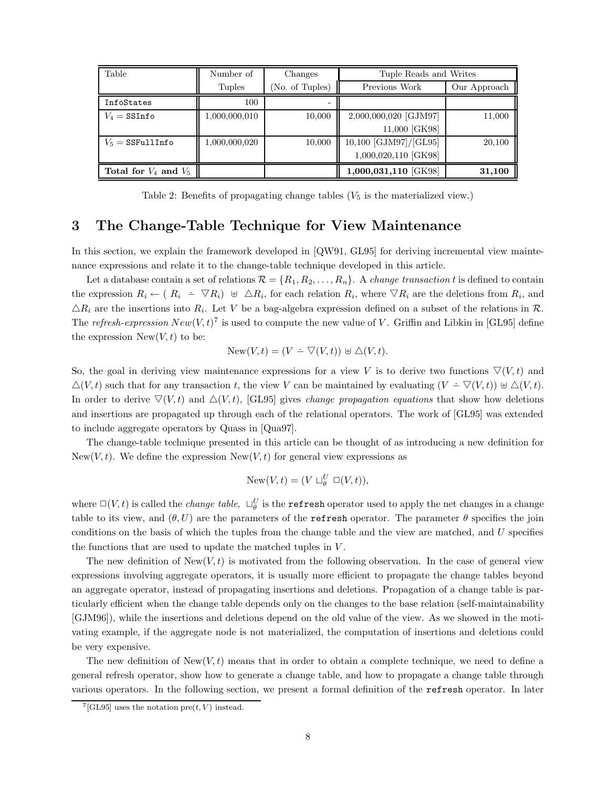| Table                     | Number of     | Changes         | Tuple Reads and Writes |              |
|---------------------------|---------------|-----------------|------------------------|--------------|
|                           | Tuples        | (No. of Tuples) | Previous Work          | Our Approach |
| InfoStates                | 100           |                 |                        |              |
| $V_4 = \texttt{SSInfo}$   | 1,000,000,010 | 10,000          | 2,000,000,020 [GJM97]  | 11,000       |
|                           |               |                 | 11,000 [GK98]          |              |
| $V_5 = \text{SSFullInfo}$ | 1,000,000,020 | 10,000          | 10,100 [GJM97]/[GL95]  | 20,100       |
|                           |               |                 | 1,000,020,110 [GK98]   |              |
| Total for $V_4$ and $V_5$ |               |                 | 1,000,031,110 [GK98]   | 31,100       |

Table 2: Benefits of propagating change tables  $(V_5$  is the materialized view.)

# 3 The Change-Table Technique for View Maintenance

In this section, we explain the framework developed in [QW91, GL95] for deriving incremental view maintenance expressions and relate it to the change-table technique developed in this article.

Let a database contain a set of relations  $\mathcal{R} = \{R_1, R_2, \ldots, R_n\}$ . A *change transaction t* is defined to contain the expression  $R_i \leftarrow (R_i \div \nabla R_i) \oplus \Delta R_i$ , for each relation  $R_i$ , where  $\nabla R_i$  are the deletions from  $R_i$ , and  $\triangle R_i$  are the insertions into  $R_i$ . Let V be a bag-algebra expression defined on a subset of the relations in R. The refresh-expression  $New(V, t)^7$  is used to compute the new value of V. Griffin and Libkin in [GL95] define the expression  $New(V, t)$  to be:

$$
New(V, t) = (V \doteq \nabla(V, t)) \oplus \triangle(V, t).
$$

So, the goal in deriving view maintenance expressions for a view V is to derive two functions  $\nabla(V,t)$  and  $\Delta(V,t)$  such that for any transaction t, the view V can be maintained by evaluating  $(V - \nabla(V,t)) \oplus \Delta(V,t)$ . In order to derive  $\nabla(V,t)$  and  $\Delta(V,t)$ , [GL95] gives *change propagation equations* that show how deletions and insertions are propagated up through each of the relational operators. The work of [GL95] was extended to include aggregate operators by Quass in [Qua97].

The change-table technique presented in this article can be thought of as introducing a new definition for New(V, t). We define the expression New(V, t) for general view expressions as

$$
\text{New}(V,t) = (V \sqcup_{\theta}^U \Box(V,t)),
$$

where  $\square(V,t)$  is called the *change table*,  $\square_{\theta}^U$  is the **refresh** operator used to apply the net changes in a change table to its view, and  $(\theta, U)$  are the parameters of the refresh operator. The parameter  $\theta$  specifies the join conditions on the basis of which the tuples from the change table and the view are matched, and U specifies the functions that are used to update the matched tuples in  $V$ .

The new definition of  $New(V, t)$  is motivated from the following observation. In the case of general view expressions involving aggregate operators, it is usually more efficient to propagate the change tables beyond an aggregate operator, instead of propagating insertions and deletions. Propagation of a change table is particularly efficient when the change table depends only on the changes to the base relation (self-maintainability [GJM96]), while the insertions and deletions depend on the old value of the view. As we showed in the motivating example, if the aggregate node is not materialized, the computation of insertions and deletions could be very expensive.

The new definition of  $New(V, t)$  means that in order to obtain a complete technique, we need to define a general refresh operator, show how to generate a change table, and how to propagate a change table through various operators. In the following section, we present a formal definition of the refresh operator. In later

 $^{7}$ [GL95] uses the notation pre $(t, V)$  instead.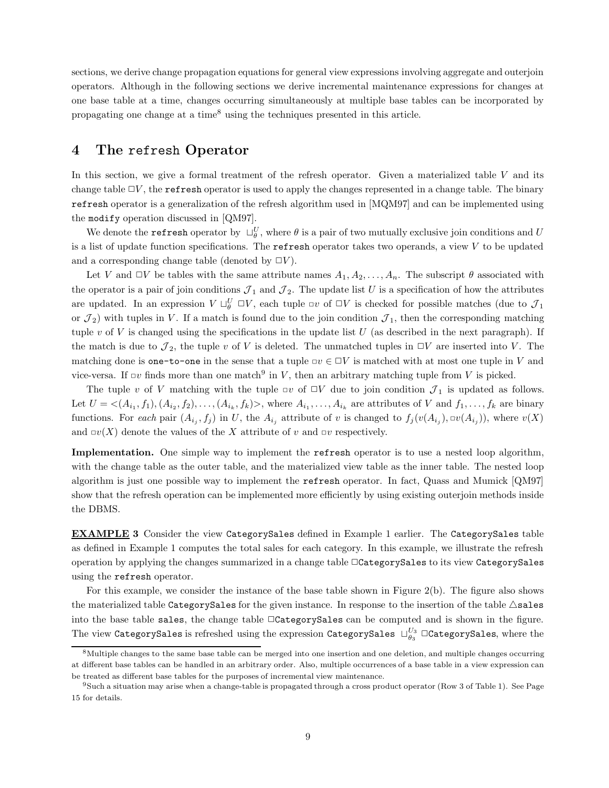sections, we derive change propagation equations for general view expressions involving aggregate and outerjoin operators. Although in the following sections we derive incremental maintenance expressions for changes at one base table at a time, changes occurring simultaneously at multiple base tables can be incorporated by propagating one change at a time<sup>8</sup> using the techniques presented in this article.

# 4 The refresh Operator

In this section, we give a formal treatment of the refresh operator. Given a materialized table  $V$  and its change table  $\Box V$ , the refresh operator is used to apply the changes represented in a change table. The binary refresh operator is a generalization of the refresh algorithm used in [MQM97] and can be implemented using the modify operation discussed in [QM97].

We denote the **refresh** operator by  $\sqcup_{\theta}^U$ , where  $\theta$  is a pair of two mutually exclusive join conditions and U is a list of update function specifications. The **refresh** operator takes two operands, a view  $V$  to be updated and a corresponding change table (denoted by  $\Box V$ ).

Let V and  $\Box V$  be tables with the same attribute names  $A_1, A_2, \ldots, A_n$ . The subscript  $\theta$  associated with the operator is a pair of join conditions  $\mathcal{J}_1$  and  $\mathcal{J}_2$ . The update list U is a specification of how the attributes are updated. In an expression  $V \sqcup_{\theta}^U \Box V$ , each tuple  $\Box v$  of  $\Box V$  is checked for possible matches (due to  $\mathcal{J}_1$ or  $\mathcal{J}_2$ ) with tuples in V. If a match is found due to the join condition  $\mathcal{J}_1$ , then the corresponding matching tuple v of V is changed using the specifications in the update list  $U$  (as described in the next paragraph). If the match is due to  $\mathcal{J}_2$ , the tuple v of V is deleted. The unmatched tuples in  $\Box V$  are inserted into V. The matching done is one-to-one in the sense that a tuple  $\exists v \in \exists V$  is matched with at most one tuple in V and vice-versa. If  $\Box v$  finds more than one match<sup>9</sup> in V, then an arbitrary matching tuple from V is picked.

The tuple v of V matching with the tuple  $\Box v$  of  $\Box V$  due to join condition  $\mathcal{J}_1$  is updated as follows. Let  $U = \langle (A_{i_1}, f_1), (A_{i_2}, f_2), \dots, (A_{i_k}, f_k) \rangle$ , where  $A_{i_1}, \dots, A_{i_k}$  are attributes of V and  $f_1, \dots, f_k$  are binary functions. For each pair  $(A_{i_j}, f_j)$  in U, the  $A_{i_j}$  attribute of v is changed to  $f_j(v(A_{i_j}), \text{w}(A_{i_j})),$  where  $v(X)$ and  $\Box v(X)$  denote the values of the X attribute of v and  $\Box v$  respectively.

Implementation. One simple way to implement the refresh operator is to use a nested loop algorithm, with the change table as the outer table, and the materialized view table as the inner table. The nested loop algorithm is just one possible way to implement the refresh operator. In fact, Quass and Mumick [QM97] show that the refresh operation can be implemented more efficiently by using existing outerjoin methods inside the DBMS.

EXAMPLE 3 Consider the view CategorySales defined in Example 1 earlier. The CategorySales table as defined in Example 1 computes the total sales for each category. In this example, we illustrate the refresh operation by applying the changes summarized in a change table □CategorySales to its view CategorySales using the refresh operator.

For this example, we consider the instance of the base table shown in Figure 2(b). The figure also shows the materialized table CategorySales for the given instance. In response to the insertion of the table  $\triangle$ sales into the base table sales, the change table  $\Box$ CategorySales can be computed and is shown in the figure. The view CategorySales is refreshed using the expression CategorySales  $\,\sqcup_{\theta_3}^{U_3}\,\Box$ CategorySales, where the

<sup>8</sup>Multiple changes to the same base table can be merged into one insertion and one deletion, and multiple changes occurring at different base tables can be handled in an arbitrary order. Also, multiple occurrences of a base table in a view expression can be treated as different base tables for the purposes of incremental view maintenance.

<sup>9</sup>Such a situation may arise when a change-table is propagated through a cross product operator (Row 3 of Table 1). See Page 15 for details.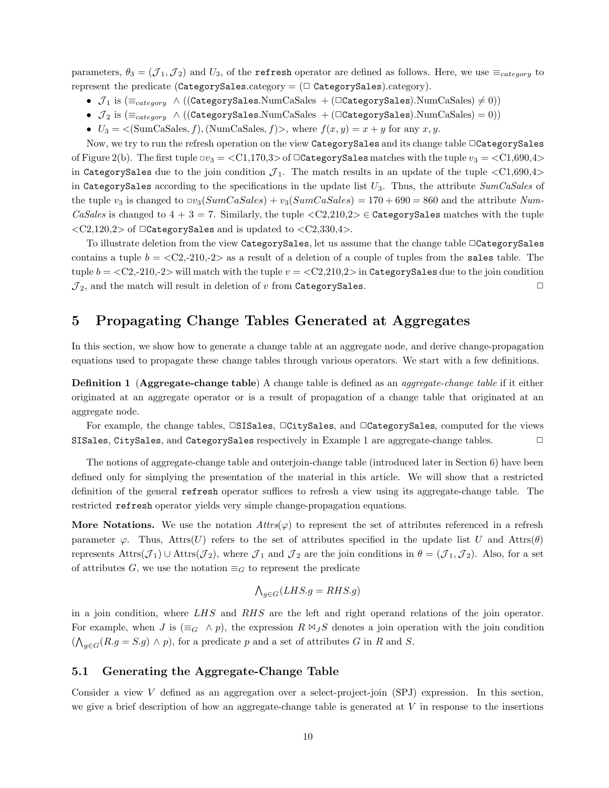parameters,  $\theta_3 = (\mathcal{J}_1, \mathcal{J}_2)$  and  $U_3$ , of the **refresh** operator are defined as follows. Here, we use  $\equiv_{category}$  to represent the predicate (CategorySales.category =  $(\Box$  CategorySales).category).

- $\mathcal{J}_1$  is  $(\equiv_{category} \wedge ((\text{CategorySales.NumCaSales } + (\Box \text{CategorySales}).\text{NumCaSales } \neq 0))$
- $\mathcal{J}_2$  is ( $\equiv_{category} \wedge ((\text{CategorySales.NumCaSales} + (\Box \text{CategorySales}).NumCaSales) = 0))$
- $U_3 = \langle \text{SumCaSales}, f \rangle$ , (NumCaSales, f)>, where  $f(x, y) = x + y$  for any x, y.

Now, we try to run the refresh operation on the view CategorySales and its change table  $\Box$ CategorySales of Figure 2(b). The first tuple  $-v_3 = \langle C1,170,3\rangle$  of  $\Box$ CategorySales matches with the tuple  $v_3 = \langle C1,690,4\rangle$ in CategorySales due to the join condition  $J_1$ . The match results in an update of the tuple <C1,690,4> in CategorySales according to the specifications in the update list  $U_3$ . Thus, the attribute SumCaSales of the tuple  $v_3$  is changed to  $\Box v_3(SumCasales) + v_3(SumCasales) = 170 + 690 = 860$  and the attribute Num-CaSales is changed to  $4 + 3 = 7$ . Similarly, the tuple  $\langle C2,210,2 \rangle \in \mathsf{CategorySales}$  matches with the tuple  $\langle C2,120,2\rangle$  of  $\Box$ CategorySales and is updated to  $\langle C2,330,4\rangle$ .

To illustrate deletion from the view CategorySales, let us assume that the change table  $\Box$ CategorySales contains a tuple  $b = \langle C2, -210, -2 \rangle$  as a result of a deletion of a couple of tuples from the sales table. The tuple  $b = \langle C2, -210, -2 \rangle$  will match with the tuple  $v = \langle C2, 210, 2 \rangle$  in CategorySales due to the join condition  $\mathcal{J}_2$ , and the match will result in deletion of v from CategorySales.

## 5 Propagating Change Tables Generated at Aggregates

In this section, we show how to generate a change table at an aggregate node, and derive change-propagation equations used to propagate these change tables through various operators. We start with a few definitions.

**Definition 1** (Aggregate-change table) A change table is defined as an *aggregate-change table* if it either originated at an aggregate operator or is a result of propagation of a change table that originated at an aggregate node.

For example, the change tables, □SISales, □CitySales, and □CategorySales, computed for the views SISales, CitySales, and CategorySales respectively in Example 1 are aggregate-change tables.

The notions of aggregate-change table and outerjoin-change table (introduced later in Section 6) have been defined only for simplying the presentation of the material in this article. We will show that a restricted definition of the general refresh operator suffices to refresh a view using its aggregate-change table. The restricted refresh operator yields very simple change-propagation equations.

More Notations. We use the notation  $Attrs(\varphi)$  to represent the set of attributes referenced in a refresh parameter  $\varphi$ . Thus, Attrs(U) refers to the set of attributes specified in the update list U and Attrs( $\theta$ ) represents  $\text{Attrs}(\mathcal{J}_1) \cup \text{Attrs}(\mathcal{J}_2)$ , where  $\mathcal{J}_1$  and  $\mathcal{J}_2$  are the join conditions in  $\theta = (\mathcal{J}_1, \mathcal{J}_2)$ . Also, for a set of attributes G, we use the notation  $\equiv_G$  to represent the predicate

$$
\bigwedge_{g \in G} (LHS.g = RHS.g)
$$

in a join condition, where LHS and RHS are the left and right operand relations of the join operator. For example, when J is  $(\equiv_G \land p)$ , the expression  $R \bowtie_J S$  denotes a join operation with the join condition  $(\bigwedge_{g \in G} (R.g = S.g) \land p)$ , for a predicate p and a set of attributes G in R and S.

#### 5.1 Generating the Aggregate-Change Table

Consider a view V defined as an aggregation over a select-project-join (SPJ) expression. In this section, we give a brief description of how an aggregate-change table is generated at V in response to the insertions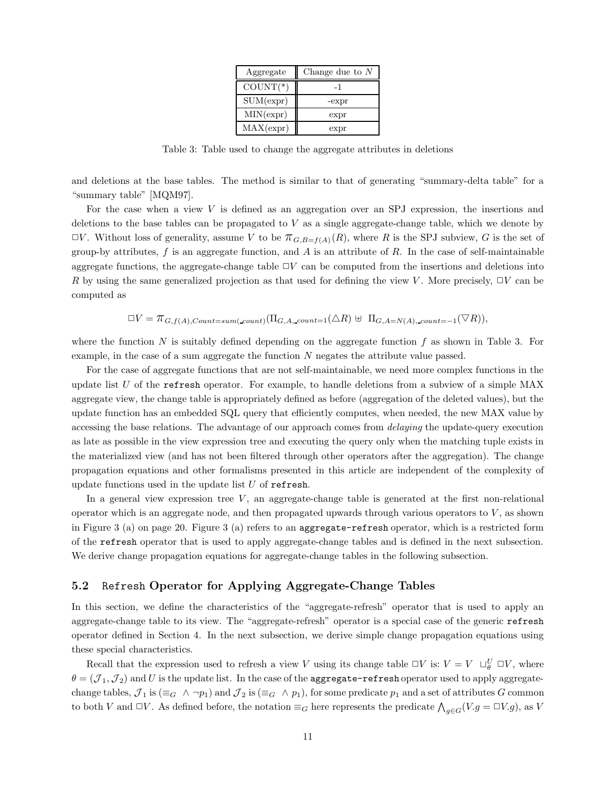| Aggregate  | Change due to $N$ |
|------------|-------------------|
| $COUNT(*)$ | - 1               |
| SUM(exp)   | -expr             |
| MIN(exp)   | expr              |
| MAX(exp)   | expr              |

Table 3: Table used to change the aggregate attributes in deletions

and deletions at the base tables. The method is similar to that of generating "summary-delta table" for a "summary table" [MQM97].

For the case when a view V is defined as an aggregation over an SPJ expression, the insertions and deletions to the base tables can be propagated to  $V$  as a single aggregate-change table, which we denote by  $\Box V$ . Without loss of generality, assume V to be  $\pi_{G,B=f(A)}(R)$ , where R is the SPJ subview, G is the set of group-by attributes,  $f$  is an aggregate function, and  $A$  is an attribute of  $R$ . In the case of self-maintainable aggregate functions, the aggregate-change table  $\Box V$  can be computed from the insertions and deletions into R by using the same generalized projection as that used for defining the view V. More precisely,  $\Box V$  can be computed as

 $\Box V = \pi_{G, f(A), Count = sum(count)}(\Pi_{G, A, count=1}(\triangle R) \boxplus \Pi_{G, A=N(A), count=-1}(\triangledown R)),$ 

where the function N is suitably defined depending on the aggregate function f as shown in Table 3. For example, in the case of a sum aggregate the function N negates the attribute value passed.

For the case of aggregate functions that are not self-maintainable, we need more complex functions in the update list  $U$  of the refresh operator. For example, to handle deletions from a subview of a simple MAX aggregate view, the change table is appropriately defined as before (aggregation of the deleted values), but the update function has an embedded SQL query that efficiently computes, when needed, the new MAX value by accessing the base relations. The advantage of our approach comes from *delaying* the update-query execution as late as possible in the view expression tree and executing the query only when the matching tuple exists in the materialized view (and has not been filtered through other operators after the aggregation). The change propagation equations and other formalisms presented in this article are independent of the complexity of update functions used in the update list  $U$  of refresh.

In a general view expression tree  $V$ , an aggregate-change table is generated at the first non-relational operator which is an aggregate node, and then propagated upwards through various operators to  $V$ , as shown in Figure 3 (a) on page 20. Figure 3 (a) refers to an aggregate-refresh operator, which is a restricted form of the refresh operator that is used to apply aggregate-change tables and is defined in the next subsection. We derive change propagation equations for aggregate-change tables in the following subsection.

#### 5.2 Refresh Operator for Applying Aggregate-Change Tables

In this section, we define the characteristics of the "aggregate-refresh" operator that is used to apply an aggregate-change table to its view. The "aggregate-refresh" operator is a special case of the generic refresh operator defined in Section 4. In the next subsection, we derive simple change propagation equations using these special characteristics.

Recall that the expression used to refresh a view V using its change table  $\Box V$  is:  $V = V \Box_{\theta}^U \Box V$ , where  $\theta = (\mathcal{J}_1, \mathcal{J}_2)$  and U is the update list. In the case of the aggregate-refresh operator used to apply aggregatechange tables,  $\mathcal{J}_1$  is  $(\equiv_G \land \neg p_1)$  and  $\mathcal{J}_2$  is  $(\equiv_G \land p_1)$ , for some predicate  $p_1$  and a set of attributes G common to both V and  $\Box V$ . As defined before, the notation  $\equiv_G$  here represents the predicate  $\bigwedge_{g\in G}(V.g = \Box V.g)$ , as V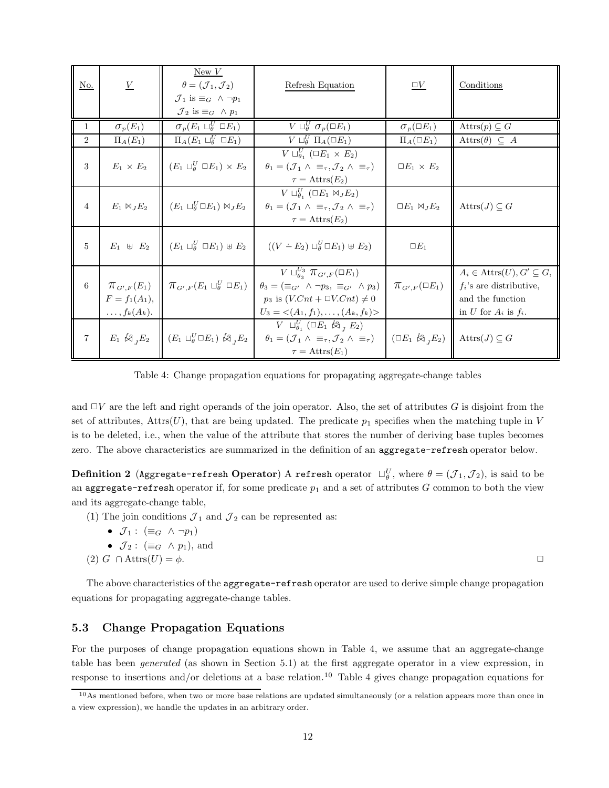|                |                                      | NewV                                                   |                                                                                   |                              |                                            |
|----------------|--------------------------------------|--------------------------------------------------------|-----------------------------------------------------------------------------------|------------------------------|--------------------------------------------|
| No.            | $\underline{V}$                      | $\theta = (\mathcal{J}_1, \mathcal{J}_2)$              | Refresh Equation                                                                  | $\underline{\square V}$      | Conditions                                 |
|                |                                      | $\mathcal{J}_1$ is $\equiv_G \land \neg p_1$           |                                                                                   |                              |                                            |
|                |                                      | $\mathcal{J}_2$ is $\equiv_G \wedge p_1$               |                                                                                   |                              |                                            |
| 1              | $\sigma_p(E_1)$                      | $\sigma_p(E_1 \sqcup_{\theta}^U \Box E_1)$             | $V\sqcup_{\theta}^U \sigma_p(\Box E_1)$                                           | $\sigma_p(\Box E_1)$         | $\text{Attrs}(p) \subseteq G$              |
| $\overline{2}$ | $\Pi_A(E_1)$                         | $\Pi_A(E_1 \cup_{\theta}^U \Box E_1)$                  | $V\sqcup_{\theta}^U\Pi_A(\square E_1)$                                            | $\Pi_A(\Box E_1)$            | Attrs $(\theta) \subseteq A$               |
|                |                                      |                                                        | $V \sqcup_{\theta_1}^U (\square E_1 \times E_2)$                                  |                              |                                            |
| 3              | $E_1 \times E_2$                     | $(E_1 \cup_{\theta}^U \Box E_1) \times E_2$            | $\theta_1 = (\mathcal{J}_1 \wedge \equiv_\tau, \mathcal{J}_2 \wedge \equiv_\tau)$ | $\Box E_1 \times E_2$        |                                            |
|                |                                      |                                                        | $\tau = \text{Attrs}(E_2)$                                                        |                              |                                            |
|                |                                      |                                                        | $V \sqcup_{\theta_1}^U (\square E_1 \boxtimes_J E_2)$                             |                              |                                            |
| $\overline{4}$ | $E_1 \bowtie_J E_2$                  | $(E_1 \cup_{\theta}^U \Box E_1) \boxtimes_J E_2$       | $\theta_1 = (\mathcal{J}_1 \wedge \equiv_\tau, \mathcal{J}_2 \wedge \equiv_\tau)$ | $\Box E_1 \boxtimes_J E_2$   | $\text{Attrs}(J)\subseteq G$               |
|                |                                      |                                                        | $\tau = \text{Attrs}(E_2)$                                                        |                              |                                            |
|                |                                      |                                                        |                                                                                   |                              |                                            |
| 5              | $E_1 \oplus E_2$                     | $(E_1 \cup_{\theta}^U \Box E_1) \oplus E_2$            | $((V \doteq E_2) \sqcup_{\theta}^U \Box E_1) \uplus E_2)$                         | $\Box E_1$                   |                                            |
|                |                                      |                                                        |                                                                                   |                              |                                            |
|                |                                      |                                                        | $V\sqcup_{\theta_3}^{U_3}\pi_{G',F}(\Box E_1)$                                    |                              | $A_i \in \text{Attrs}(U), G' \subseteq G,$ |
| 6              | $\pi_{\scriptscriptstyle G',F}(E_1)$ | $\pi_{G',F}(E_1 \sqcup_{\theta}^U \Box E_1)$           | $\theta_3 = (\equiv_{G'} \land \neg p_3, \equiv_{G'} \land p_3)$                  | $\pi_{G',F}(\Box E_1)$       | $f_i$ 's are distributive,                 |
|                | $F = f_1(A_1),$                      |                                                        | $p_3$ is $(V.Cnt + \Box V.Cnt) \neq 0$                                            |                              | and the function                           |
|                | $\ldots, f_k(A_k).$                  |                                                        | $U_3 = \langle (A_1, f_1), \ldots, (A_k, f_k) \rangle$                            |                              | in U for $A_i$ is $f_i$ .                  |
|                |                                      |                                                        | $V \sqcup_{\theta_1}^U (\square E_1 \overset{l_2}{\bowtie}_I E_2)$                |                              |                                            |
| $\overline{7}$ | $E_1 \nless_L E_2$                   | $(E_1 \sqcup_{\theta}^U \Box E_1) \not\bowtie_{J} E_2$ | $\theta_1 = (\mathcal{J}_1 \wedge \equiv_\tau, \mathcal{J}_2 \wedge \equiv_\tau)$ | $(\Box E_1 \boxtimes_L E_2)$ | $\text{Attrs}(J)\subseteq G$               |
|                |                                      |                                                        | $\tau = \text{Attrs}(E_1)$                                                        |                              |                                            |

Table 4: Change propagation equations for propagating aggregate-change tables

and  $\Box V$  are the left and right operands of the join operator. Also, the set of attributes G is disjoint from the set of attributes, Attrs $(U)$ , that are being updated. The predicate  $p_1$  specifies when the matching tuple in V is to be deleted, i.e., when the value of the attribute that stores the number of deriving base tuples becomes zero. The above characteristics are summarized in the definition of an aggregate-refresh operator below.

**Definition 2** (Aggregate-refresh Operator) A refresh operator  $\Box_{\theta}^U$ , where  $\theta = (\mathcal{J}_1, \mathcal{J}_2)$ , is said to be an aggregate-refresh operator if, for some predicate  $p_1$  and a set of attributes G common to both the view and its aggregate-change table,

- (1) The join conditions  $\mathcal{J}_1$  and  $\mathcal{J}_2$  can be represented as:
	- $\mathcal{J}_1$ :  $(\equiv_G \land \neg p_1)$
	- $\mathcal{J}_2: (\equiv_G \land p_1)$ , and
- $(2)$  G  $\cap$  Attrs $(U) = \phi$ .

The above characteristics of the **aggregate-refresh** operator are used to derive simple change propagation equations for propagating aggregate-change tables.

### 5.3 Change Propagation Equations

For the purposes of change propagation equations shown in Table 4, we assume that an aggregate-change table has been generated (as shown in Section 5.1) at the first aggregate operator in a view expression, in response to insertions and/or deletions at a base relation.<sup>10</sup> Table 4 gives change propagation equations for

<sup>10</sup>As mentioned before, when two or more base relations are updated simultaneously (or a relation appears more than once in a view expression), we handle the updates in an arbitrary order.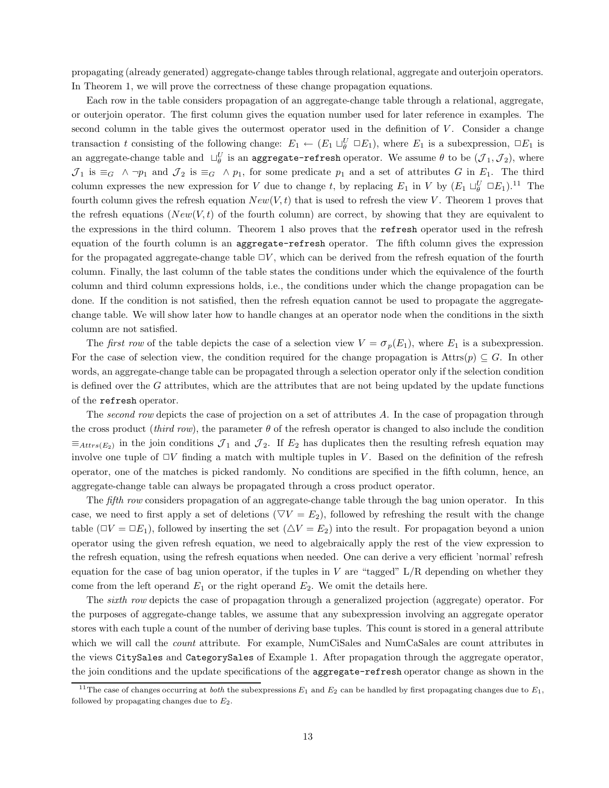propagating (already generated) aggregate-change tables through relational, aggregate and outerjoin operators. In Theorem 1, we will prove the correctness of these change propagation equations.

Each row in the table considers propagation of an aggregate-change table through a relational, aggregate, or outerjoin operator. The first column gives the equation number used for later reference in examples. The second column in the table gives the outermost operator used in the definition of  $V$ . Consider a change transaction t consisting of the following change:  $E_1 \leftarrow (E_1 \sqcup_{\theta}^U \Box E_1)$ , where  $E_1$  is a subexpression,  $\Box E_1$  is an aggregate-change table and  $\Box^U_\theta$  is an aggregate-refresh operator. We assume  $\theta$  to be  $({\cal J}_1,{\cal J}_2),$  where  $\mathcal{J}_1$  is  $\equiv_G \land \neg p_1$  and  $\mathcal{J}_2$  is  $\equiv_G \land p_1$ , for some predicate  $p_1$  and a set of attributes G in  $E_1$ . The third column expresses the new expression for V due to change t, by replacing  $E_1$  in V by  $(E_1 \sqcup_{\theta}^U \Box E_1).^{11}$  The fourth column gives the refresh equation  $New(V, t)$  that is used to refresh the view V. Theorem 1 proves that the refresh equations (New(V,t) of the fourth column) are correct, by showing that they are equivalent to the expressions in the third column. Theorem 1 also proves that the refresh operator used in the refresh equation of the fourth column is an aggregate-refresh operator. The fifth column gives the expression for the propagated aggregate-change table  $\Box V$ , which can be derived from the refresh equation of the fourth column. Finally, the last column of the table states the conditions under which the equivalence of the fourth column and third column expressions holds, i.e., the conditions under which the change propagation can be done. If the condition is not satisfied, then the refresh equation cannot be used to propagate the aggregatechange table. We will show later how to handle changes at an operator node when the conditions in the sixth column are not satisfied.

The *first row* of the table depicts the case of a selection view  $V = \sigma_p(E_1)$ , where  $E_1$  is a subexpression. For the case of selection view, the condition required for the change propagation is  $Attrs(p) \subseteq G$ . In other words, an aggregate-change table can be propagated through a selection operator only if the selection condition is defined over the G attributes, which are the attributes that are not being updated by the update functions of the refresh operator.

The second row depicts the case of projection on a set of attributes A. In the case of propagation through the cross product (third row), the parameter  $\theta$  of the refresh operator is changed to also include the condition  $\equiv_{Attrs(E_2)}$  in the join conditions  $\mathcal{J}_1$  and  $\mathcal{J}_2$ . If  $E_2$  has duplicates then the resulting refresh equation may involve one tuple of  $\Box V$  finding a match with multiple tuples in V. Based on the definition of the refresh operator, one of the matches is picked randomly. No conditions are specified in the fifth column, hence, an aggregate-change table can always be propagated through a cross product operator.

The *fifth row* considers propagation of an aggregate-change table through the bag union operator. In this case, we need to first apply a set of deletions  $(\nabla V = E_2)$ , followed by refreshing the result with the change table ( $\Box V = \Box E_1$ ), followed by inserting the set ( $\Delta V = E_2$ ) into the result. For propagation beyond a union operator using the given refresh equation, we need to algebraically apply the rest of the view expression to the refresh equation, using the refresh equations when needed. One can derive a very efficient 'normal' refresh equation for the case of bag union operator, if the tuples in V are "tagged"  $L/R$  depending on whether they come from the left operand  $E_1$  or the right operand  $E_2$ . We omit the details here.

The sixth row depicts the case of propagation through a generalized projection (aggregate) operator. For the purposes of aggregate-change tables, we assume that any subexpression involving an aggregate operator stores with each tuple a count of the number of deriving base tuples. This count is stored in a general attribute which we will call the *count* attribute. For example, NumCiSales and NumCaSales are count attributes in the views CitySales and CategorySales of Example 1. After propagation through the aggregate operator, the join conditions and the update specifications of the aggregate-refresh operator change as shown in the

<sup>&</sup>lt;sup>11</sup>The case of changes occurring at *both* the subexpressions  $E_1$  and  $E_2$  can be handled by first propagating changes due to  $E_1$ , followed by propagating changes due to  $E_2$ .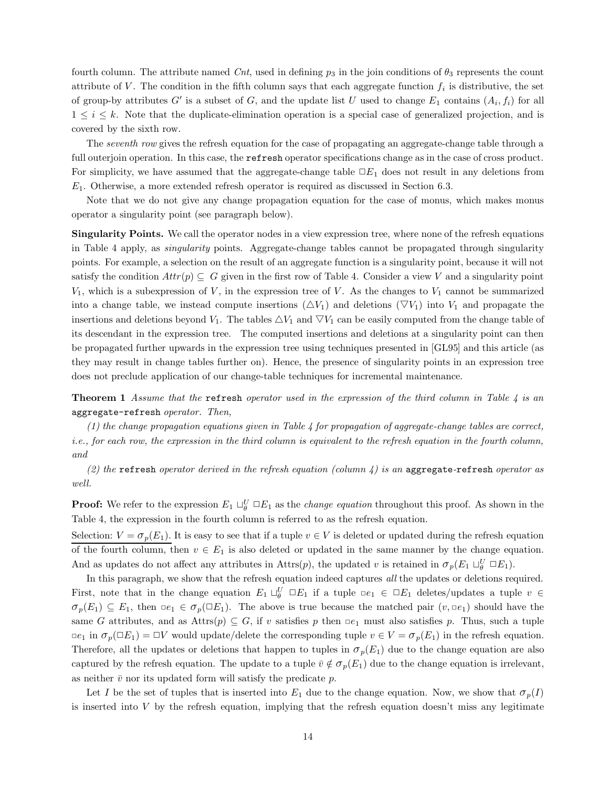fourth column. The attribute named Cnt, used in defining  $p_3$  in the join conditions of  $\theta_3$  represents the count attribute of V. The condition in the fifth column says that each aggregate function  $f_i$  is distributive, the set of group-by attributes G' is a subset of G, and the update list U used to change  $E_1$  contains  $(A_i, f_i)$  for all  $1 \leq i \leq k$ . Note that the duplicate-elimination operation is a special case of generalized projection, and is covered by the sixth row.

The *seventh row* gives the refresh equation for the case of propagating an aggregate-change table through a full outerjoin operation. In this case, the refresh operator specifications change as in the case of cross product. For simplicity, we have assumed that the aggregate-change table  $\Box E_1$  does not result in any deletions from  $E_1$ . Otherwise, a more extended refresh operator is required as discussed in Section 6.3.

Note that we do not give any change propagation equation for the case of monus, which makes monus operator a singularity point (see paragraph below).

Singularity Points. We call the operator nodes in a view expression tree, where none of the refresh equations in Table 4 apply, as singularity points. Aggregate-change tables cannot be propagated through singularity points. For example, a selection on the result of an aggregate function is a singularity point, because it will not satisfy the condition  $Attr(p) \subseteq G$  given in the first row of Table 4. Consider a view V and a singularity point  $V_1$ , which is a subexpression of V, in the expression tree of V. As the changes to  $V_1$  cannot be summarized into a change table, we instead compute insertions  $(\Delta V_1)$  and deletions  $(\nabla V_1)$  into  $V_1$  and propagate the insertions and deletions beyond  $V_1$ . The tables  $\Delta V_1$  and  $\nabla V_1$  can be easily computed from the change table of its descendant in the expression tree. The computed insertions and deletions at a singularity point can then be propagated further upwards in the expression tree using techniques presented in [GL95] and this article (as they may result in change tables further on). Hence, the presence of singularity points in an expression tree does not preclude application of our change-table techniques for incremental maintenance.

**Theorem 1** Assume that the refresh operator used in the expression of the third column in Table  $\ddot{A}$  is an aggregate-refresh operator. Then,

(1) the change propagation equations given in Table 4 for propagation of aggregate-change tables are correct, i.e., for each row, the expression in the third column is equivalent to the refresh equation in the fourth column, and

(2) the refresh operator derived in the refresh equation (column  $\downarrow$ ) is an aggregate-refresh operator as well.

**Proof:** We refer to the expression  $E_1 \sqcup_{\theta}^U \sqcup E_1$  as the *change equation* throughout this proof. As shown in the Table 4, the expression in the fourth column is referred to as the refresh equation.

Selection:  $V = \sigma_p(E_1)$ . It is easy to see that if a tuple  $v \in V$  is deleted or updated during the refresh equation of the fourth column, then  $v \in E_1$  is also deleted or updated in the same manner by the change equation. And as updates do not affect any attributes in Attrs $(p)$ , the updated v is retained in  $\sigma_p(E_1 \sqcup_q^U \square E_1)$ .

In this paragraph, we show that the refresh equation indeed captures all the updates or deletions required. First, note that in the change equation  $E_1 \sqcup_{\theta}^U \square E_1$  if a tuple  $\Box e_1 \in \square E_1$  deletes/updates a tuple  $v \in$  $\sigma_p(E_1) \subseteq E_1$ , then  $\Box e_1 \in \sigma_p(\Box E_1)$ . The above is true because the matched pair  $(v, \Box e_1)$  should have the same G attributes, and as  $text{Attrs}(p) \subseteq G$ , if v satisfies p then  $\Xi e_1$  must also satisfies p. Thus, such a tuple  $\Box e_1$  in  $\sigma_p(\Box E_1) = \Box V$  would update/delete the corresponding tuple  $v \in V = \sigma_p(E_1)$  in the refresh equation. Therefore, all the updates or deletions that happen to tuples in  $\sigma_p(E_1)$  due to the change equation are also captured by the refresh equation. The update to a tuple  $\bar{v} \notin \sigma_p(E_1)$  due to the change equation is irrelevant, as neither  $\bar{v}$  nor its updated form will satisfy the predicate p.

Let I be the set of tuples that is inserted into  $E_1$  due to the change equation. Now, we show that  $\sigma_p(I)$ is inserted into  $V$  by the refresh equation, implying that the refresh equation doesn't miss any legitimate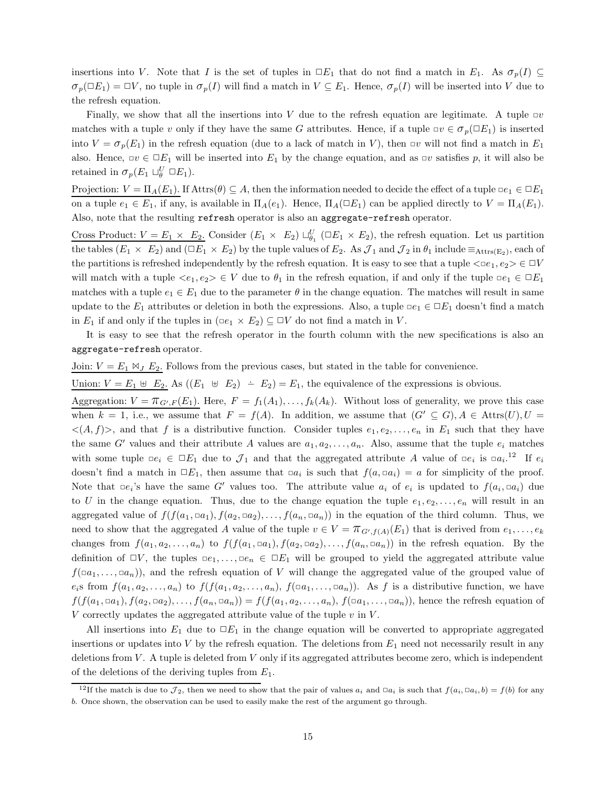insertions into V. Note that I is the set of tuples in  $\Box E_1$  that do not find a match in  $E_1$ . As  $\sigma_p(I) \subseteq$  $\sigma_p(\Box E_1) = \Box V$ , no tuple in  $\sigma_p(I)$  will find a match in  $V \subseteq E_1$ . Hence,  $\sigma_p(I)$  will be inserted into V due to the refresh equation.

Finally, we show that all the insertions into V due to the refresh equation are legitimate. A tuple  $\Box v$ matches with a tuple v only if they have the same G attributes. Hence, if a tuple  $\Box v \in \sigma_p(\Box E_1)$  is inserted into  $V = \sigma_p(E_1)$  in the refresh equation (due to a lack of match in V), then  $\sigma v$  will not find a match in  $E_1$ also. Hence,  $\Box v \in \Box E_1$  will be inserted into  $E_1$  by the change equation, and as  $\Box v$  satisfies p, it will also be retained in  $\sigma_p(E_1 \sqcup_{\theta}^U \Box E_1)$ .

Projection:  $V = \Pi_A(E_1)$ . If  $\text{Attrs}(\theta) \subseteq A$ , then the information needed to decide the effect of a tuple  $\Box e_1 \in \Box E_1$ on a tuple  $e_1 \in E_1$ , if any, is available in  $\Pi_A(e_1)$ . Hence,  $\Pi_A(\square E_1)$  can be applied directly to  $V = \Pi_A(E_1)$ . Also, note that the resulting refresh operator is also an aggregate-refresh operator.

Cross Product:  $V = E_1 \times E_2$ . Consider  $(E_1 \times E_2) \sqcup_{\theta_1}^U (\square E_1 \times E_2)$ , the refresh equation. Let us partition the tables  $(E_1 \times E_2)$  and  $(\Box E_1 \times E_2)$  by the tuple values of  $E_2$ . As  $\mathcal{J}_1$  and  $\mathcal{J}_2$  in  $\theta_1$  include  $\equiv_{\text{Attrs}(E_2)}$ , each of the partitions is refreshed independently by the refresh equation. It is easy to see that a tuple  $\langle \exists e_1, e_2 \rangle \in \Box V$ will match with a tuple  $\langle e_1, e_2 \rangle \in V$  due to  $\theta_1$  in the refresh equation, if and only if the tuple  $\Box e_1 \in \Box E_1$ matches with a tuple  $e_1 \in E_1$  due to the parameter  $\theta$  in the change equation. The matches will result in same update to the  $E_1$  attributes or deletion in both the expressions. Also, a tuple  $\overline{\mathfrak{se}}_1 \in \Box E_1$  doesn't find a match in  $E_1$  if and only if the tuples in  $(\Box e_1 \times E_2) \subseteq \Box V$  do not find a match in V.

It is easy to see that the refresh operator in the fourth column with the new specifications is also an aggregate-refresh operator.

Join:  $V = E_1 \bowtie_J E_2$ . Follows from the previous cases, but stated in the table for convenience.

Union:  $V = E_1 \oplus E_2$ . As  $((E_1 \oplus E_2) \doteq E_2) = E_1$ , the equivalence of the expressions is obvious.

Aggregation:  $V = \pi_{G',F}(E_1)$ . Here,  $F = f_1(A_1), \ldots, f_k(A_k)$ . Without loss of generality, we prove this case when k = 1, i.e., we assume that  $F = f(A)$ . In addition, we assume that  $(G' \subseteq G), A \in \text{Attrs}(U), U =$  $\langle (A, f) \rangle$ , and that f is a distributive function. Consider tuples  $e_1, e_2, \ldots, e_n$  in  $E_1$  such that they have the same G' values and their attribute A values are  $a_1, a_2, \ldots, a_n$ . Also, assume that the tuple  $e_i$  matches with some tuple  $\Box e_i \in \Box E_1$  due to  $\mathcal{J}_1$  and that the aggregated attribute A value of  $\Box e_i$  is  $\Box a_i$ .<sup>12</sup> If  $e_i$ doesn't find a match in  $\Box E_1$ , then assume that  $\Box a_i$  is such that  $f(a, \Box a_i) = a$  for simplicity of the proof. Note that  $\Box e_i$ 's have the same G' values too. The attribute value  $a_i$  of  $e_i$  is updated to  $f(a_i, \Box a_i)$  due to U in the change equation. Thus, due to the change equation the tuple  $e_1, e_2, \ldots, e_n$  will result in an aggregated value of  $f(f(a_1, \Box a_1), f(a_2, \Box a_2), \ldots, f(a_n, \Box a_n))$  in the equation of the third column. Thus, we need to show that the aggregated A value of the tuple  $v \in V = \pi_{G',f(A)}(E_1)$  that is derived from  $e_1, \ldots, e_k$ changes from  $f(a_1, a_2, \ldots, a_n)$  to  $f(f(a_1, \Box a_1), f(a_2, \Box a_2), \ldots, f(a_n, \Box a_n))$  in the refresh equation. By the definition of  $\Box V$ , the tuples  $\Box e_1, \ldots, \Box e_n \in \Box E_1$  will be grouped to yield the aggregated attribute value  $f(\Box a_1,\ldots,\Box a_n)$ , and the refresh equation of V will change the aggregated value of the grouped value of  $e_i$ s from  $f(a_1, a_2, \ldots, a_n)$  to  $f(f(a_1, a_2, \ldots, a_n), f(\Box a_1, \ldots, \Box a_n))$ . As f is a distributive function, we have  $f(f(a_1, \alpha_1), f(a_2, \alpha_2), \ldots, f(a_n, \alpha_n)) = f(f(a_1, a_2, \ldots, a_n), f(\alpha_1, \ldots, \alpha_n))$ , hence the refresh equation of V correctly updates the aggregated attribute value of the tuple  $v$  in  $V$ .

All insertions into  $E_1$  due to  $\Box E_1$  in the change equation will be converted to appropriate aggregated insertions or updates into V by the refresh equation. The deletions from  $E_1$  need not necessarily result in any deletions from  $V$ . A tuple is deleted from  $V$  only if its aggregated attributes become zero, which is independent of the deletions of the deriving tuples from  $E_1$ .

<sup>&</sup>lt;sup>12</sup>If the match is due to  $\mathcal{J}_2$ , then we need to show that the pair of values  $a_i$  and  $\Box a_i$  is such that  $f(a_i, \Box a_i, b) = f(b)$  for any b. Once shown, the observation can be used to easily make the rest of the argument go through.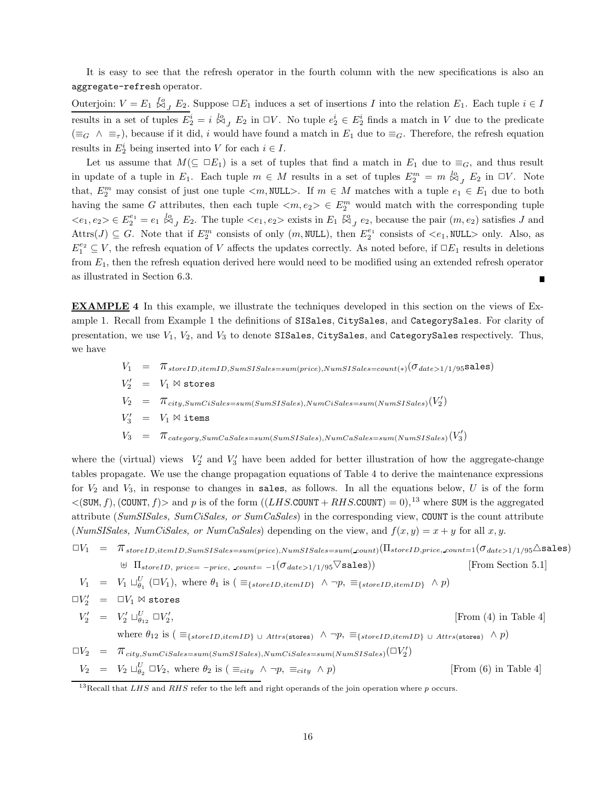It is easy to see that the refresh operator in the fourth column with the new specifications is also an aggregate-refresh operator.

Outerjoin:  $V = E_1 \&g J E_2$ . Suppose  $\Box E_1$  induces a set of insertions I into the relation  $E_1$ . Each tuple  $i \in I$ results in a set of tuples  $E_2^i = i \stackrel{l_o}{\bowtie}_J E_2$  in  $\Box V$ . No tuple  $e_2^i \in E_2^i$  finds a match in V due to the predicate  $(\equiv_G \land \equiv_{\tau})$ , because if it did, i would have found a match in  $E_1$  due to  $\equiv_G$ . Therefore, the refresh equation results in  $E_2^i$  being inserted into V for each  $i \in I$ .

Let us assume that  $M(\subseteq \Box E_1)$  is a set of tuples that find a match in  $E_1$  due to  $\equiv_G$ , and thus result in update of a tuple in  $E_1$ . Each tuple  $m \in M$  results in a set of tuples  $E_2^m = m \overset{lo}{\bowtie}_J E_2$  in  $\Box V$ . Note that,  $E_2^m$  may consist of just one tuple  $\langle m, \text{NULL}\rangle$ . If  $m \in M$  matches with a tuple  $e_1 \in E_1$  due to both having the same G attributes, then each tuple  $\langle m, e_2 \rangle \in E_2^m$  would match with the corresponding tuple  $\langle e_1, e_2 \rangle \in E_2^{e_1} = e_1 \overset{lo}{\bowtie}_J E_2$ . The tuple  $\langle e_1, e_2 \rangle$  exists in  $E_1 \overset{ro}{\bowtie}_J e_2$ , because the pair  $(m, e_2)$  satisfies J and  $\text{Attrs}(J) \subseteq G$ . Note that if  $E_2^m$  consists of only  $(m, \text{NULL})$ , then  $E_2^{e_1}$  consists of  $\langle e_1, \text{NULL}\rangle$  only. Also, as  $E_1^{e_2} \subseteq V$ , the refresh equation of V affects the updates correctly. As noted before, if  $\Box E_1$  results in deletions from  $E_1$ , then the refresh equation derived here would need to be modified using an extended refresh operator as illustrated in Section 6.3.

EXAMPLE 4 In this example, we illustrate the techniques developed in this section on the views of Example 1. Recall from Example 1 the definitions of SISales, CitySales, and CategorySales. For clarity of presentation, we use  $V_1$ ,  $V_2$ , and  $V_3$  to denote SISales, CitySales, and CategorySales respectively. Thus, we have

> $V_1 = \pi_{storeID,itemID,SumSISales = sum(price), NumSISales = count(*)}(\sigma_{date>1/1/95}$ sales)  $V_2'$  =  $V_1 \boxtimes$  stores  $V_2$  =  $\pi_{\textit{city}, \textit{SumC} is a less = sum(\textit{SumS} is a less), \textit{NumC} is a less = sum(\textit{NumS} is a less}) (V_2')$  $V_3'$  =  $V_1 \bowtie$  items  $V_3$  =  $\pi_{category, SumCasales = sum(SumSISales), NumCasales = sum(NumSISales)(V'_3)}$

where the (virtual) views  $V_2'$  and  $V_3'$  have been added for better illustration of how the aggregate-change tables propagate. We use the change propagation equations of Table 4 to derive the maintenance expressions for  $V_2$  and  $V_3$ , in response to changes in sales, as follows. In all the equations below, U is of the form  $\langle$ (SUM, f),(COUNT, f)> and p is of the form ((LHS.COUNT + RHS.COUNT) = 0),<sup>13</sup> where SUM is the aggregated attribute (SumSISales, SumCiSales, or SumCaSales) in the corresponding view, COUNT is the count attribute (NumSISales, NumCiSales, or NumCaSales) depending on the view, and  $f(x, y) = x + y$  for all x, y.

 $\Box V_1 = \pi_{\text{storeID},\text{itemID},\text{SumSISales}=\text{sum}(\text{price}),\text{NumSISales}=\text{sum}(\text{count})(\Pi_{\text{storeID},\text{price},\text{count}=1}(\sigma_{\text{date}>1/1/95}\triangle \text{sales})$  $\forall$  II<sub>storeID</sub>, price= -price, count= -1( $\sigma_{date>1/1/95}\nabla$ sales)) [From Section 5.1]

$$
V_1 = V_1 \sqcup_{\theta_1}^U (\square V_1), \text{ where } \theta_1 \text{ is } (\equiv_{\{storeID, itemID\}} \land \neg p, \equiv_{\{storeID, itemID\}} \land p)
$$

$$
\Box V_2' = \Box V_1 \otimes \text{ stores}
$$
\n
$$
V_2' = V_2' \sqcup_{\theta_{12}}^U \Box V_2', \qquad [\text{From (4) in Table 4}]
$$
\n
$$
\text{where } \theta_{12} \text{ is } (\equiv_{\{\text{storeID},\text{itemID}\} \cup \text{Attrs}(\text{stores})} \land \neg p, \equiv_{\{\text{storeID},\text{itemID}\} \cup \text{Attrs}(\text{stores})} \land p)
$$
\n
$$
\Box V_2 = \pi_{\text{city},\text{SumC} \subseteq \text{Sales} = \text{sum}(\text{SumSISales}), \text{NumC} \subseteq \text{Sales} = \text{sum}(\text{NumSISales})}(\Box V_2')
$$
\n
$$
V_2 = V_2 \sqcup_{\theta_2}^U \Box V_2, \text{ where } \theta_2 \text{ is } (\equiv_{\text{city}} \land \neg p, \equiv_{\text{city}} \land p) \qquad [\text{From (6) in Table 4}]
$$

<sup>&</sup>lt;sup>13</sup>Recall that LHS and RHS refer to the left and right operands of the join operation where p occurs.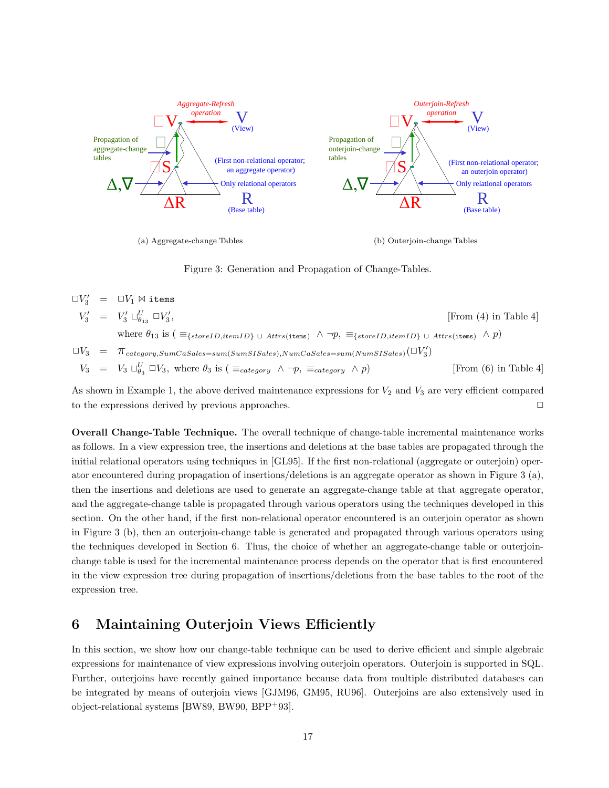

(a) Aggregate-change Tables

(b) Outerjoin-change Tables



 $\Box V_3'$  =  $\Box V_1 \boxtimes \text{items}$  $V_3' = V_3' \sqcup_{\theta_{13}}^U \Box V_3'$  $[From (4) in Table 4]$ where  $\theta_{13}$  is (  $\equiv_{\{storeID,itemID\}} \cup Atrs(\text{items})$   $\land \neg p$ ,  $\equiv_{\{storeID,itemID\}} \cup Atrs(\text{items})$   $\land p$ )  $\Box V_3$  =  $\pi_{category,SumCasales = sum(SumSISales), NumCasSales = sum(NumSISales)(\Box V'_3)}$  $V_3 = V_3 \sqcup_{\theta_3}^U \Box V_3$ , where  $\theta_3$  is  $(\equiv_{category} \land \neg p, \equiv_{category} \land p)$  [From (6) in Table 4]

As shown in Example 1, the above derived maintenance expressions for  $V_2$  and  $V_3$  are very efficient compared to the expressions derived by previous approaches.

Overall Change-Table Technique. The overall technique of change-table incremental maintenance works as follows. In a view expression tree, the insertions and deletions at the base tables are propagated through the initial relational operators using techniques in [GL95]. If the first non-relational (aggregate or outerjoin) operator encountered during propagation of insertions/deletions is an aggregate operator as shown in Figure 3 (a), then the insertions and deletions are used to generate an aggregate-change table at that aggregate operator, and the aggregate-change table is propagated through various operators using the techniques developed in this section. On the other hand, if the first non-relational operator encountered is an outerjoin operator as shown in Figure 3 (b), then an outerjoin-change table is generated and propagated through various operators using the techniques developed in Section 6. Thus, the choice of whether an aggregate-change table or outerjoinchange table is used for the incremental maintenance process depends on the operator that is first encountered in the view expression tree during propagation of insertions/deletions from the base tables to the root of the expression tree.

# 6 Maintaining Outerjoin Views Efficiently

In this section, we show how our change-table technique can be used to derive efficient and simple algebraic expressions for maintenance of view expressions involving outerjoin operators. Outerjoin is supported in SQL. Further, outerjoins have recently gained importance because data from multiple distributed databases can be integrated by means of outerjoin views [GJM96, GM95, RU96]. Outerjoins are also extensively used in object-relational systems [BW89, BW90, BPP+93].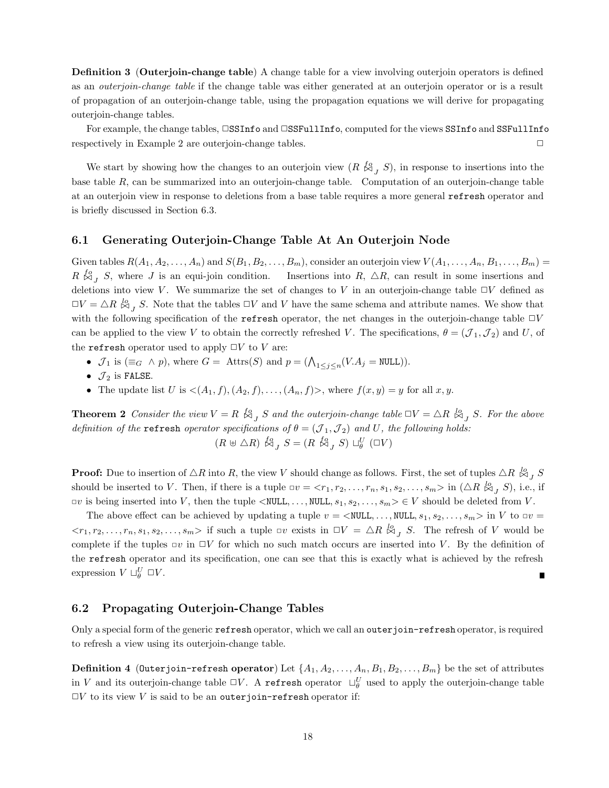Definition 3 (Outerjoin-change table) A change table for a view involving outerjoin operators is defined as an outerjoin-change table if the change table was either generated at an outerjoin operator or is a result of propagation of an outerjoin-change table, using the propagation equations we will derive for propagating outerjoin-change tables.

For example, the change tables,  $\square$ SSInfo and  $\square$ SSFullInfo, computed for the views SSInfo and SSFullInfo respectively in Example 2 are outerjoin-change tables.

We start by showing how the changes to an outerjoin view  $(R \mathcal{L}_{J} S)$ , in response to insertions into the base table R, can be summarized into an outerjoin-change table. Computation of an outerjoin-change table at an outerjoin view in response to deletions from a base table requires a more general refresh operator and is briefly discussed in Section 6.3.

### 6.1 Generating Outerjoin-Change Table At An Outerjoin Node

Given tables  $R(A_1, A_2, \ldots, A_n)$  and  $S(B_1, B_2, \ldots, B_m)$ , consider an outerjoin view  $V(A_1, \ldots, A_n, B_1, \ldots, B_m)$  $R \overset{f_2}{\bowtie}_J S$ , where J is an equi-join condition. Insertions into  $R$ ,  $\triangle R$ , can result in some insertions and deletions into view V. We summarize the set of changes to V in an outerjoin-change table  $\Box V$  defined as  $\Box V = \triangle R$   $\stackrel{lo}{\bowtie}$   $\Box$  S. Note that the tables  $\Box V$  and V have the same schema and attribute names. We show that with the following specification of the refresh operator, the net changes in the outerjoin-change table  $\Box V$ can be applied to the view V to obtain the correctly refreshed V. The specifications,  $\theta = (\mathcal{J}_1, \mathcal{J}_2)$  and U, of the **refresh** operator used to apply  $\Box V$  to V are:

- $\mathcal{J}_1$  is  $(\equiv_G \land p)$ , where  $G = \text{Attrs}(S)$  and  $p = (\bigwedge_{1 \leq j \leq n} (V.A_j = \text{NULL})).$
- $\mathcal{J}_2$  is FALSE.
- The update list U is  $\langle (A_1, f), (A_2, f), \ldots, (A_n, f) \rangle$ , where  $f(x, y) = y$  for all x, y.

**Theorem 2** Consider the view  $V = R \&g \ S$  and the outerjoin-change table  $\Box V = \triangle R \Join g \ S$ . For the above definition of the refresh operator specifications of  $\theta = (\mathcal{J}_1, \mathcal{J}_2)$  and U, the following holds:  $(R \oplus \triangle R) \stackrel{f \circ}{\bowtie}_J S = (R \stackrel{f \circ}{\bowtie}_J S) \sqcup^U_{\theta} (\square V)$ 

**Proof:** Due to insertion of  $\triangle R$  into R, the view V should change as follows. First, the set of tuples  $\triangle R$   $\overset{lo}{\bowtie}_J S$ should be inserted to V. Then, if there is a tuple  $\Box v = \langle r_1, r_2, \ldots, r_n, s_1, s_2, \ldots, s_m \rangle$  in  $(\triangle R \overset{lo}{\bowtie}_J S)$ , i.e., if  $\exists v$  is being inserted into V, then the tuple <NULL, ..., NULL,  $s_1, s_2, \ldots, s_m$ >  $\in V$  should be deleted from V.

The above effect can be achieved by updating a tuple  $v = \langle \text{NULL}, \dots, \text{NULL}, s_1, s_2, \dots, s_m \rangle$  in V to  $\Box v =$  $\langle r_1, r_2, \ldots, r_n, s_1, s_2, \ldots, s_m \rangle$  if such a tuple  $\Box v$  exists in  $\Box V = \triangle R \bigotimes_S S$ . The refresh of V would be complete if the tuples  $\Box v$  in  $\Box V$  for which no such match occurs are inserted into V. By the definition of the refresh operator and its specification, one can see that this is exactly what is achieved by the refresh expression  $V \sqcup_{\theta}^U \square V$ .

#### 6.2 Propagating Outerjoin-Change Tables

Only a special form of the generic refresh operator, which we call an outerjoin-refresh operator, is required to refresh a view using its outerjoin-change table.

**Definition 4** (Outerjoin-refresh operator) Let  $\{A_1, A_2, \ldots, A_n, B_1, B_2, \ldots, B_m\}$  be the set of attributes in V and its outerjoin-change table  $\Box V$ . A refresh operator  $\Box_{\theta}^U$  used to apply the outerjoin-change table  $\Box V$  to its view V is said to be an outerjoin-refresh operator if: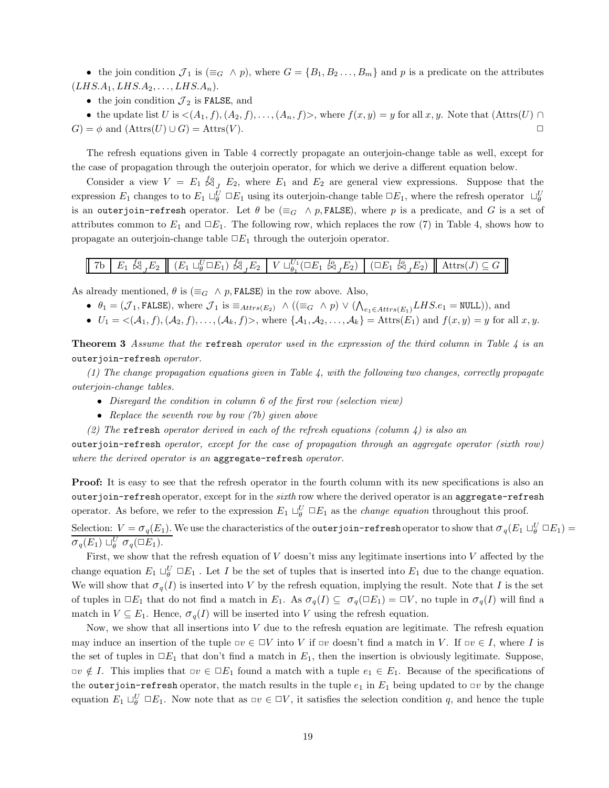• the join condition  $\mathcal{J}_1$  is  $(\equiv_G \land p)$ , where  $G = \{B_1, B_2, \ldots, B_m\}$  and p is a predicate on the attributes  $(LHS.A_1, LHS.A_2, \ldots, LHS.A_n).$ 

• the join condition  $\mathcal{J}_2$  is FALSE, and

• the update list U is  $\langle (A_1, f), (A_2, f), \ldots, (A_n, f) \rangle$ , where  $f(x, y) = y$  for all x, y. Note that  $(\text{Attrs}(U) \cap$  $G$ ) =  $\phi$  and (Attrs(U) ∪ G) = Attrs(V).

The refresh equations given in Table 4 correctly propagate an outerjoin-change table as well, except for the case of propagation through the outerjoin operator, for which we derive a different equation below.

Consider a view  $V = E_1 \nleq g_J E_2$ , where  $E_1$  and  $E_2$  are general view expressions. Suppose that the expression  $E_1$  changes to to  $E_1 \sqcup_{\theta}^U \Box E_1$  using its outerjoin-change table  $\Box E_1$ , where the refresh operator  $\Box_{\theta}^U$ is an outerjoin-refresh operator. Let  $\theta$  be ( $\equiv_G \land p$ , FALSE), where p is a predicate, and G is a set of attributes common to  $E_1$  and  $\Box E_1$ . The following row, which replaces the row (7) in Table 4, shows how to propagate an outerjoin-change table  $\Box E_1$  through the outerjoin operator.

#### 7b  $E_1 \not\stackrel{\text{f}_2}{\otimes}_J E_2 \parallel (E_1 \sqcup_{\theta}^U \Box E_1) \not\stackrel{\text{f}_2}{\otimes}_J E_2 \parallel V \sqcup$  $_{\theta_{1}}^{U_{1}}(\Box E_{1}\overset{lo}{\Join}_{J}% ^{U_{1}})=-\left( \frac{\partial V_{1}}{\partial_{1}}\right) ^{U_{1}}\left( \frac{\partial V_{2}}{\partial_{1}}\right) ^{U_{2}}$  $E_2$ )  $(\Box E_1 \overset{lo}{\bowtie} \underset{J}{\bowtie}$  $\text{Attrs}(J) \subseteq G$

As already mentioned,  $\theta$  is ( $\equiv_G \land p$ , FALSE) in the row above. Also,

- $\theta_1 = (\mathcal{J}_1, \text{FALSE})$ , where  $\mathcal{J}_1$  is  $\equiv_{Attrs(E_2)} \wedge ((\equiv_G \wedge p) \vee (\bigwedge_{e_1 \in Attrs(E_1)} LHS.e_1 = \text{NULL}) )$ , and
- $U_1 = \langle (A_1, f), (A_2, f), \ldots, (A_k, f) \rangle$ , where  $\{A_1, A_2, \ldots, A_k\} = \text{Attrs}(E_1)$  and  $f(x, y) = y$  for all  $x, y$ .

**Theorem 3** Assume that the refresh operator used in the expression of the third column in Table  $\ddot{4}$  is an outerjoin-refresh operator.

(1) The change propagation equations given in Table 4, with the following two changes, correctly propagate outerjoin-change tables.

- Disregard the condition in column 6 of the first row (selection view)
- Replace the seventh row by row (7b) given above
- (2) The refresh operator derived in each of the refresh equations (column 4) is also an

outerjoin-refresh operator, except for the case of propagation through an aggregate operator (sixth row) where the derived operator is an aggregate-refresh operator.

**Proof:** It is easy to see that the refresh operator in the fourth column with its new specifications is also an outerjoin-refresh operator, except for in the *sixth* row where the derived operator is an aggregate-refresh operator. As before, we refer to the expression  $E_1 \sqcup_{\theta}^U \square E_1$  as the *change equation* throughout this proof. Selection:  $V = \sigma_q(E_1)$ . We use the characteristics of the outerjoin-refresh operator to show that  $\sigma_q(E_1 \sqcup_q^U \Box E_1)$  $\sigma_q(E_1) \sqcup_{\theta}^U \sigma_q(\Box E_1).$ 

First, we show that the refresh equation of  $V$  doesn't miss any legitimate insertions into  $V$  affected by the change equation  $E_1 \sqcup_{\theta}^U \square E_1$ . Let I be the set of tuples that is inserted into  $E_1$  due to the change equation. We will show that  $\sigma_q(I)$  is inserted into V by the refresh equation, implying the result. Note that I is the set of tuples in  $\Box E_1$  that do not find a match in  $E_1$ . As  $\sigma_q(I) \subseteq \sigma_q(\Box E_1) = \Box V$ , no tuple in  $\sigma_q(I)$  will find a match in  $V \subseteq E_1$ . Hence,  $\sigma_q(I)$  will be inserted into V using the refresh equation.

Now, we show that all insertions into  $V$  due to the refresh equation are legitimate. The refresh equation may induce an insertion of the tuple  $\Box v \in \Box V$  into V if  $\Box v$  doesn't find a match in V. If  $\Box v \in I$ , where I is the set of tuples in  $\Box E_1$  that don't find a match in  $E_1$ , then the insertion is obviously legitimate. Suppose,  $\forall v \notin I$ . This implies that  $\forall v \in \Box E_1$  found a match with a tuple  $e_1 \in E_1$ . Because of the specifications of the outerjoin-refresh operator, the match results in the tuple  $e_1$  in  $E_1$  being updated to  $\sigma v$  by the change equation  $E_1 \sqcup_{\theta}^U \Box E_1$ . Now note that as  $\Box v \in \Box V$ , it satisfies the selection condition q, and hence the tuple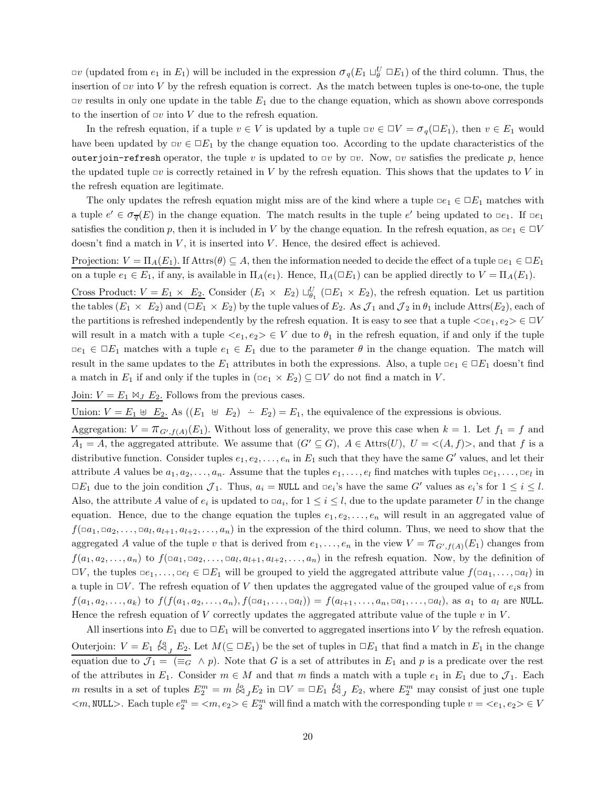$\sigma_v$  (updated from  $e_1$  in  $E_1$ ) will be included in the expression  $\sigma_q(E_1 \sqcup_q^U \Box E_1)$  of the third column. Thus, the insertion of  $\Box v$  into V by the refresh equation is correct. As the match between tuples is one-to-one, the tuple  $\Box v$  results in only one update in the table  $E_1$  due to the change equation, which as shown above corresponds to the insertion of  $\Box v$  into V due to the refresh equation.

In the refresh equation, if a tuple  $v \in V$  is updated by a tuple  $\exists v \in \Box V = \sigma_q(\Box E_1)$ , then  $v \in E_1$  would have been updated by  $\exists v \in \Box E_1$  by the change equation too. According to the update characteristics of the outerjoin-refresh operator, the tuple v is updated to  $\Box v$  by  $\Box v$ . Now,  $\Box v$  satisfies the predicate p, hence the updated tuple  $\Box v$  is correctly retained in V by the refresh equation. This shows that the updates to V in the refresh equation are legitimate.

The only updates the refresh equation might miss are of the kind where a tuple  $\Box e_1 \in \Box E_1$  matches with a tuple  $e' \in \sigma_{\overline{q}}(E)$  in the change equation. The match results in the tuple  $e'$  being updated to  $\Box e_1$ . If  $\Box e_1$ satisfies the condition p, then it is included in V by the change equation. In the refresh equation, as  $\Box e_1 \in \Box V$ doesn't find a match in  $V$ , it is inserted into  $V$ . Hence, the desired effect is achieved.

Projection:  $V = \Pi_A(E_1)$ . If  $\text{Attrs}(\theta) \subseteq A$ , then the information needed to decide the effect of a tuple  $\Box e_1 \in \Box E_1$ on a tuple  $e_1 \in E_1$ , if any, is available in  $\Pi_A(e_1)$ . Hence,  $\Pi_A(\square E_1)$  can be applied directly to  $V = \Pi_A(E_1)$ .

Cross Product:  $V = E_1 \times E_2$ . Consider  $(E_1 \times E_2) \sqcup_{\theta_1}^U (\square E_1 \times E_2)$ , the refresh equation. Let us partition the tables  $(E_1 \times E_2)$  and  $(\Box E_1 \times E_2)$  by the tuple values of  $E_2$ . As  $\mathcal{J}_1$  and  $\mathcal{J}_2$  in  $\theta_1$  include Attrs( $E_2$ ), each of the partitions is refreshed independently by the refresh equation. It is easy to see that a tuple  $\langle \varpi e_1, e_2 \rangle \in \Box V$ will result in a match with a tuple  $\langle e_1, e_2 \rangle \in V$  due to  $\theta_1$  in the refresh equation, if and only if the tuple  $\Box e_1 \in \Box E_1$  matches with a tuple  $e_1 \in E_1$  due to the parameter  $\theta$  in the change equation. The match will result in the same updates to the  $E_1$  attributes in both the expressions. Also, a tuple  $\Box e_1 \in \Box E_1$  doesn't find a match in  $E_1$  if and only if the tuples in  $(\Box e_1 \times E_2) \subseteq \Box V$  do not find a match in V.

Join:  $V = E_1 \bowtie_J E_2$ . Follows from the previous cases.

Union:  $V = E_1 \oplus E_2$ . As  $((E_1 \oplus E_2) \doteq E_2) = E_1$ , the equivalence of the expressions is obvious.

Aggregation:  $V = \pi_{G',f(A)}(E_1)$ . Without loss of generality, we prove this case when  $k = 1$ . Let  $f_1 = f$  and  $A_1 = A$ , the aggregated attribute. We assume that  $(G' \subseteq G)$ ,  $A \in \text{Attrs}(U)$ ,  $U = \langle (A, f) \rangle$ , and that f is a distributive function. Consider tuples  $e_1, e_2, \ldots, e_n$  in  $E_1$  such that they have the same G' values, and let their attribute A values be  $a_1, a_2, \ldots, a_n$ . Assume that the tuples  $e_1, \ldots, e_l$  find matches with tuples  $\Box e_1, \ldots, \Box e_l$  in  $\Box E_1$  due to the join condition  $\mathcal{J}_1$ . Thus,  $a_i = \text{NULL}$  and  $\Box e_i$ 's have the same G' values as  $e_i$ 's for  $1 \leq i \leq l$ . Also, the attribute A value of  $e_i$  is updated to  $\Box a_i$ , for  $1 \leq i \leq l$ , due to the update parameter U in the change equation. Hence, due to the change equation the tuples  $e_1, e_2, \ldots, e_n$  will result in an aggregated value of  $f(\Box a_1, \Box a_2, \ldots, \Box a_l, a_{l+1}, a_{l+2}, \ldots, a_n)$  in the expression of the third column. Thus, we need to show that the aggregated A value of the tuple v that is derived from  $e_1, \ldots, e_n$  in the view  $V = \pi_{G', f(A)}(E_1)$  changes from  $f(a_1, a_2, \ldots, a_n)$  to  $f(a_1, a_2, \ldots, a_n, a_{l+1}, a_{l+2}, \ldots, a_n)$  in the refresh equation. Now, by the definition of  $\Box V$ , the tuples  $\Box e_1, \ldots, \Box e_l \in \Box E_1$  will be grouped to yield the aggregated attribute value  $f(\Box a_1, \ldots, \Box a_l)$  in a tuple in  $\Box V$ . The refresh equation of V then updates the aggregated value of the grouped value of  $e_i$ s from  $f(a_1, a_2, \ldots, a_k)$  to  $f(f(a_1, a_2, \ldots, a_n), f(\Box a_1, \ldots, \Box a_l)) = f(a_{l+1}, \ldots, a_n, \Box a_1, \ldots, \Box a_l)$ , as  $a_1$  to  $a_l$  are NULL. Hence the refresh equation of V correctly updates the aggregated attribute value of the tuple  $v$  in  $V$ .

All insertions into  $E_1$  due to  $\Box E_1$  will be converted to aggregated insertions into V by the refresh equation. Outerjoin:  $V = E_1 \&g J E_2$ . Let  $M(\subseteq \Box E_1)$  be the set of tuples in  $\Box E_1$  that find a match in  $E_1$  in the change equation due to  $\mathcal{J}_1 = (\equiv_G \land p)$ . Note that G is a set of attributes in  $E_1$  and p is a predicate over the rest of the attributes in  $E_1$ . Consider  $m \in M$  and that m finds a match with a tuple  $e_1$  in  $E_1$  due to  $\mathcal{J}_1$ . Each m results in a set of tuples  $E_2^m = m \overset{lo}{\bowtie}_J E_2$  in  $\Box V = \Box E_1 \overset{fo}{\bowtie}_J E_2$ , where  $E_2^m$  may consist of just one tuple  $\langle m, \texttt{NULL}\rangle$ . Each tuple  $e_2^m = \langle m, e_2\rangle \in E_2^m$  will find a match with the corresponding tuple  $v = \langle e_1, e_2\rangle \in V$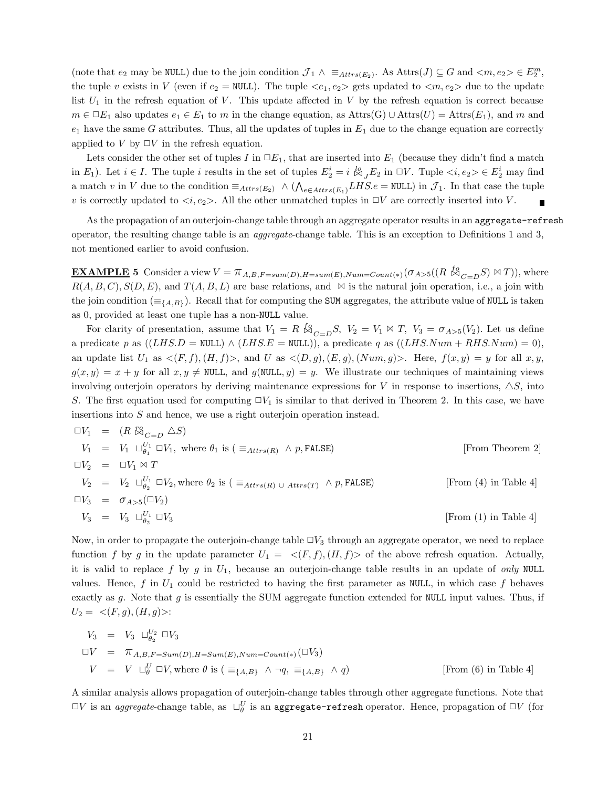(note that  $e_2$  may be NULL) due to the join condition  $\mathcal{J}_1 \wedge \equiv_{Attrs(E_2)}$ . As  $Attrs(J) \subseteq G$  and  $\langle m, e_2 \rangle \in E_2^m$ , the tuple v exists in V (even if  $e_2 = \text{NULL}$ ). The tuple  $\langle e_1, e_2 \rangle$  gets updated to  $\langle m, e_2 \rangle$  due to the update list  $U_1$  in the refresh equation of V. This update affected in V by the refresh equation is correct because  $m \in \Box E_1$  also updates  $e_1 \in E_1$  to m in the change equation, as  $\text{Attrs}(G) \cup \text{Attrs}(U) = \text{Attrs}(E_1)$ , and m and  $e_1$  have the same G attributes. Thus, all the updates of tuples in  $E_1$  due to the change equation are correctly applied to  $V$  by  $\Box V$  in the refresh equation.

Lets consider the other set of tuples I in  $\Box E_1$ , that are inserted into  $E_1$  (because they didn't find a match in  $E_1$ ). Let  $i \in I$ . The tuple i results in the set of tuples  $E_2^i = i \bigotimes_{j} E_2$  in  $\Box V$ . Tuple  $\langle i, e_2 \rangle \in E_2^i$  may find a match v in V due to the condition  $\equiv_{Attrs(E_2)} \wedge (\bigwedge_{e\in Attrs(E_1)} LHS.e = \text{NULL}$  in  $\mathcal{J}_1$ . In that case the tuple v is correctly updated to  $\langle i, e_2 \rangle$ . All the other unmatched tuples in  $\Box V$  are correctly inserted into V.

As the propagation of an outerjoin-change table through an aggregate operator results in an aggregate-refresh operator, the resulting change table is an aggregate-change table. This is an exception to Definitions 1 and 3, not mentioned earlier to avoid confusion.

**EXAMPLE** 5 Consider a view  $V = \pi_{A,B,F=sum(D),H=sum(E),Num=Count(*)} (\sigma_{A>5}((R \&_{C=D} S) \bowtie T))$ , where  $R(A, B, C), S(D, E),$  and  $T(A, B, L)$  are base relations, and  $\bowtie$  is the natural join operation, i.e., a join with the join condition ( $\equiv$ {A,B}). Recall that for computing the SUM aggregates, the attribute value of NULL is taken as 0, provided at least one tuple has a non-NULL value.

For clarity of presentation, assume that  $V_1 = R \&_{C=D} S$ ,  $V_2 = V_1 \Join T$ ,  $V_3 = \sigma_{A>5}(V_2)$ . Let us define a predicate p as  $((LHS.D = NULL) \wedge (LHS.E = NULL)),$  a predicate q as  $((LHS.Num + RHS.Num) = 0),$ an update list  $U_1$  as  $\langle (F, f), (H, f) \rangle$ , and U as  $\langle (D, g), (E, g), (Num, g) \rangle$ . Here,  $f(x, y) = y$  for all x, y,  $g(x, y) = x + y$  for all  $x, y \neq \text{NULL}$ , and  $g(\text{NULL}, y) = y$ . We illustrate our techniques of maintaining views involving outerjoin operators by deriving maintenance expressions for V in response to insertions,  $\triangle S$ , into S. The first equation used for computing  $\Box V_1$  is similar to that derived in Theorem 2. In this case, we have insertions into S and hence, we use a right outerjoin operation instead.

$$
\Box V_1 = (R \boxtimes_{C=D} \triangle S)
$$
  
\n
$$
V_1 = V_1 \sqcup_{\theta_1}^{U_1} \Box V_1, \text{ where } \theta_1 \text{ is } (\equiv_{Attrs(R)} \land p, \text{FALSE})
$$
 [From Theorem 2]  
\n
$$
\Box V_2 = \Box V_1 \bowtie T
$$
  
\n
$$
V_2 = V_2 \sqcup_{\theta_2}^{U_1} \Box V_2, \text{ where } \theta_2 \text{ is } (\equiv_{Attrs(R)} \cup Attrs(T) \land p, \text{ FALSE})
$$
 [From (4) in Table 4]  
\n
$$
\Box V_3 = \sigma_{A>5}(\Box V_2)
$$
  
\n
$$
V_3 = V_3 \sqcup_{\theta_2}^{U_1} \Box V_3
$$
 [From (1) in Table 4]

Now, in order to propagate the outerjoin-change table  $\Box V_3$  through an aggregate operator, we need to replace function f by g in the update parameter  $U_1 = \langle (F, f), (H, f) \rangle$  of the above refresh equation. Actually, it is valid to replace f by g in  $U_1$ , because an outerjoin-change table results in an update of only NULL values. Hence, f in  $U_1$  could be restricted to having the first parameter as NULL, in which case f behaves exactly as  $g$ . Note that  $g$  is essentially the SUM aggregate function extended for NULL input values. Thus, if  $U_2 = \langle (F, g), (H, g) \rangle$ :

$$
V_3 = V_3 \sqcup_{\theta_2}^{U_2} \square V_3
$$
  
\n
$$
\square V = \pi_{A,B,F=Sum(D),H=Sum(E),Num=Count(*)}(\square V_3)
$$
  
\n
$$
V = V \sqcup_{\theta}^{U} \square V, \text{ where } \theta \text{ is } (\equiv_{\{A,B\}} \land \neg q, \equiv_{\{A,B\}} \land q)
$$
 [From (6) in Table 4]

A similar analysis allows propagation of outerjoin-change tables through other aggregate functions. Note that  $\Box V$  is an *aggregate*-change table, as  $\Box_{\theta}^U$  is an **aggregate-refresh** operator. Hence, propagation of  $\Box V$  (for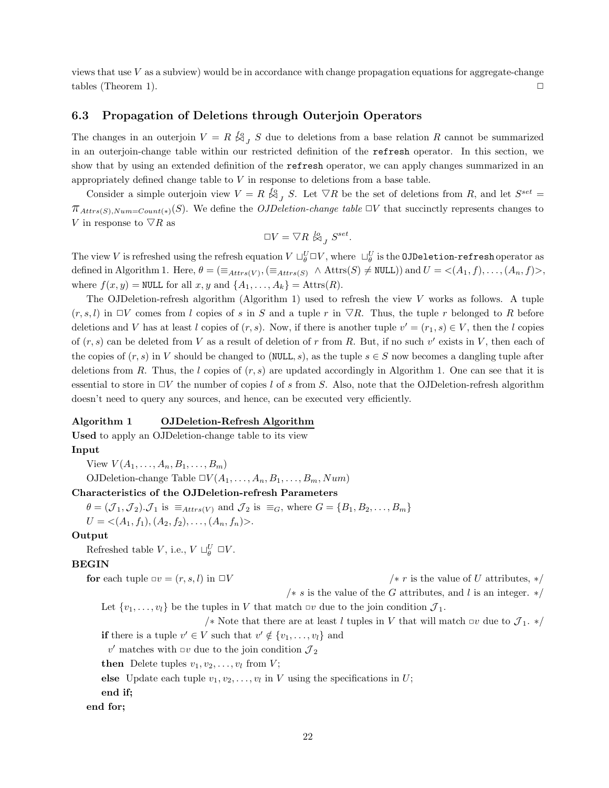views that use  $V$  as a subview) would be in accordance with change propagation equations for aggregate-change tables (Theorem 1).  $\Box$ 

#### 6.3 Propagation of Deletions through Outerjoin Operators

The changes in an outerjoin  $V = R \nleq J S$  due to deletions from a base relation R cannot be summarized in an outerjoin-change table within our restricted definition of the refresh operator. In this section, we show that by using an extended definition of the refresh operator, we can apply changes summarized in an appropriately defined change table to V in response to deletions from a base table.

Consider a simple outerjoin view  $V = R \nleq_{\mathcal{J}} S$ . Let  $\nabla R$  be the set of deletions from R, and let  $S^{set} =$  $\pi_{Attrs(S),Num=Count(*)}(S)$ . We define the *OJDeletion-change table*  $\Box V$  that succinctly represents changes to V in response to  $\nabla R$  as

$$
\Box V = \nabla R \stackrel{lo}{\bowtie}_J S^{set}.
$$

The view V is refreshed using the refresh equation  $V \sqcup_{\theta}^U \Box V$ , where  $\sqcup_{\theta}^U$  is the **OJDeletion-refresh** operator as defined in Algorithm 1. Here,  $\theta = (\equiv_{Attrs(V)}, (\equiv_{Attrs(S)} \land \text{Attrs}(S) \neq \text{NULL}) )$  and  $U = \langle (A_1, f), \dots, (A_n, f) \rangle$ , where  $f(x, y) = \text{NULL}$  for all  $x, y$  and  $\{A_1, \ldots, A_k\} = \text{Attrs}(R)$ .

The OJDeletion-refresh algorithm (Algorithm 1) used to refresh the view V works as follows. A tuple  $(r, s, l)$  in  $\Box V$  comes from l copies of s in S and a tuple r in  $\nabla R$ . Thus, the tuple r belonged to R before deletions and V has at least l copies of  $(r, s)$ . Now, if there is another tuple  $v' = (r_1, s) \in V$ , then the l copies of  $(r, s)$  can be deleted from V as a result of deletion of r from R. But, if no such v' exists in V, then each of the copies of  $(r, s)$  in V should be changed to (NULL, s), as the tuple  $s \in S$  now becomes a dangling tuple after deletions from R. Thus, the l copies of  $(r, s)$  are updated accordingly in Algorithm 1. One can see that it is essential to store in  $\Box V$  the number of copies l of s from S. Also, note that the OJDeletion-refresh algorithm doesn't need to query any sources, and hence, can be executed very efficiently.

#### Algorithm 1 OJDeletion-Refresh Algorithm

Used to apply an OJDeletion-change table to its view

#### Input

View  $V(A_1, ..., A_n, B_1, ..., B_m)$ OJDeletion-change Table  $\Box V(A_1, \ldots, A_n, B_1, \ldots, B_m, Num)$ 

#### Characteristics of the OJDeletion-refresh Parameters

 $\theta = (\mathcal{J}_1, \mathcal{J}_2) \cdot \mathcal{J}_1$  is  $\equiv_{Attrs(V)}$  and  $\mathcal{J}_2$  is  $\equiv_G$ , where  $G = \{B_1, B_2, \ldots, B_m\}$ 

 $U = \langle (A_1, f_1), (A_2, f_2), \dots, (A_n, f_n) \rangle.$ 

#### Output

Refreshed table V, i.e.,  $V \sqcup_{\theta}^U \square V$ .

#### BEGIN

for each tuple  $\Box v = (r, s, l)$  in  $\Box V$  /\* r is the value of U attributes, \*/

/\* s is the value of the G attributes, and l is an integer. \*/

Let  $\{v_1, \ldots, v_l\}$  be the tuples in V that match  $\Box v$  due to the join condition  $\mathcal{J}_1$ .

/\* Note that there are at least l tuples in V that will match  $\sigma v$  due to  $\mathcal{J}_1$ . \*/ **if** there is a tuple  $v' \in V$  such that  $v' \notin \{v_1, \ldots, v_l\}$  and

 $v'$  matches with  $\Box v$  due to the join condition  $\mathcal{J}_2$ 

**then** Delete tuples  $v_1, v_2, \ldots, v_l$  from  $V$ ;

**else** Update each tuple  $v_1, v_2, \ldots, v_l$  in V using the specifications in U;

end if;

end for;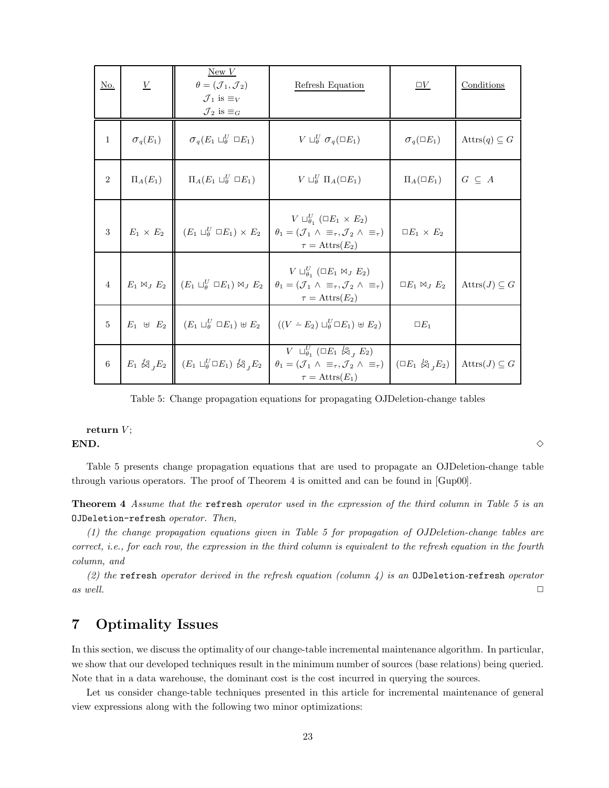| <u>No.</u>     | $\underline{V}$     | NewV<br>$\theta = (\mathcal{J}_1, \mathcal{J}_2)$<br>$\mathcal{J}_1$ is $\equiv_V$<br>$\mathcal{J}_2$ is $\equiv_G$ | Refresh Equation                                                                                                                                                                      | $\Box V$                                    | Conditions                   |
|----------------|---------------------|---------------------------------------------------------------------------------------------------------------------|---------------------------------------------------------------------------------------------------------------------------------------------------------------------------------------|---------------------------------------------|------------------------------|
| $\mathbf{1}$   | $\sigma_q(E_1)$     | $\sigma_q(E_1 \sqcup_{\theta}^U \Box E_1)$                                                                          | $V \sqcup_{\theta}^U \sigma_q(\square E_1)$                                                                                                                                           | $\sigma_q(\Box E_1)$                        | $\text{Attrs}(q)\subseteq G$ |
| $\overline{2}$ | $\Pi_A(E_1)$        | $\Pi_A(E_1 \sqcup_{\theta}^U \Box E_1)$                                                                             | $V \sqcup_{\theta}^U \Pi_A(\square E_1)$                                                                                                                                              | $\Pi_A(\Box E_1)$                           | $G \subseteq A$              |
| 3              | $E_1 \times E_2$    | $(E_1 \cup_{\theta}^U \Box E_1) \times E_2$                                                                         | $V \sqcup_{\theta_1}^U (\square E_1 \times E_2)$<br>$\theta_1 = (\mathcal{J}_1 \wedge \equiv_\tau, \mathcal{J}_2 \wedge \equiv_\tau)$<br>$\tau = \text{Attrs}(E_2)$                   | $\Box E_1 \times E_2$                       |                              |
| $\overline{4}$ | $E_1 \bowtie_J E_2$ | $(E_1 \cup_{\theta}^U \Box E_1) \boxtimes_J E_2$                                                                    | $V \sqcup_{\theta_1}^U (\sqcup E_1 \bowtie_J E_2)$<br>$\theta_1 = (\mathcal{J}_1 \wedge \equiv_\tau, \mathcal{J}_2 \wedge \equiv_\tau)$<br>$\tau = \text{Attrs}(E_2)$                 | $\Box E_1 \boxtimes_I E_2$                  | $\text{Attrs}(J)\subseteq G$ |
| 5              | $E_1 \oplus E_2$    |                                                                                                                     | $(E_1 \cup_{\theta}^U \Box E_1) \uplus E_2 \mid ((V - E_2) \cup_{\theta}^U \Box E_1) \uplus E_2)$                                                                                     | $\Box E_1$                                  |                              |
| 6              |                     | $E_1 \&g \ B_1 E_2 \parallel (E_1 \sqcup_{\theta}^U \Box E_1) \&g \ B_2$                                            | $V \sqcup_{\theta_1}^U (\square E_1 \overset{l_2}{\bowtie}_I E_2)$<br>$\theta_1 = (\mathcal{J}_1 \wedge \equiv_\tau, \mathcal{J}_2 \wedge \equiv_\tau)$<br>$\tau = \text{Attrs}(E_1)$ | $(\Box E_1 \overset{lo}{\bowtie} {}_I E_2)$ | $\text{Attrs}(J)\subseteq G$ |

Table 5: Change propagation equations for propagating OJDeletion-change tables

return  $V$ ;  $\Box$   $\Diamond$ 

Table 5 presents change propagation equations that are used to propagate an OJDeletion-change table through various operators. The proof of Theorem 4 is omitted and can be found in [Gup00].

Theorem 4 Assume that the refresh operator used in the expression of the third column in Table 5 is an OJDeletion-refresh operator. Then,

(1) the change propagation equations given in Table 5 for propagation of OJDeletion-change tables are correct, i.e., for each row, the expression in the third column is equivalent to the refresh equation in the fourth column, and

(2) the refresh operator derived in the refresh equation (column  $\downarrow$ ) is an OJDeletion-refresh operator as well.  $\Box$ 

# 7 Optimality Issues

In this section, we discuss the optimality of our change-table incremental maintenance algorithm. In particular, we show that our developed techniques result in the minimum number of sources (base relations) being queried. Note that in a data warehouse, the dominant cost is the cost incurred in querying the sources.

Let us consider change-table techniques presented in this article for incremental maintenance of general view expressions along with the following two minor optimizations: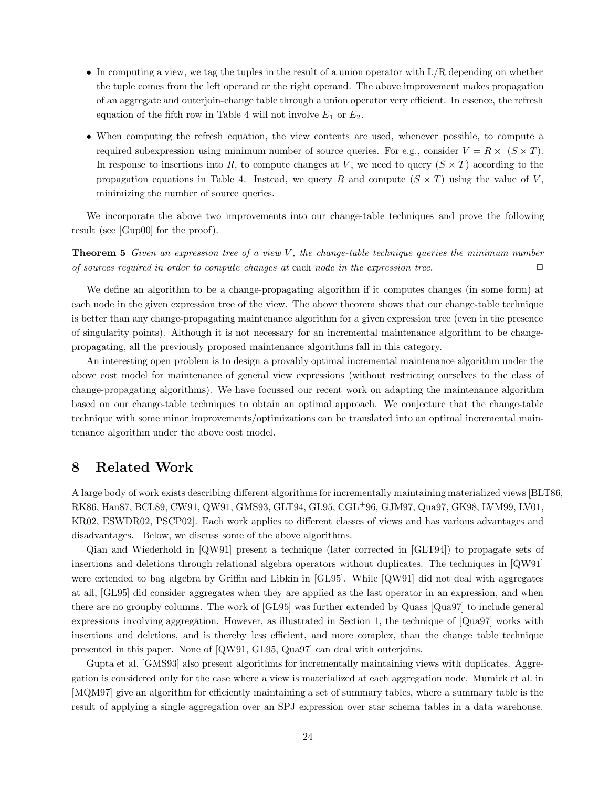- In computing a view, we tag the tuples in the result of a union operator with  $L/R$  depending on whether the tuple comes from the left operand or the right operand. The above improvement makes propagation of an aggregate and outerjoin-change table through a union operator very efficient. In essence, the refresh equation of the fifth row in Table 4 will not involve  $E_1$  or  $E_2$ .
- When computing the refresh equation, the view contents are used, whenever possible, to compute a required subexpression using minimum number of source queries. For e.g., consider  $V = R \times (S \times T)$ . In response to insertions into R, to compute changes at V, we need to query  $(S \times T)$  according to the propagation equations in Table 4. Instead, we query R and compute  $(S \times T)$  using the value of V, minimizing the number of source queries.

We incorporate the above two improvements into our change-table techniques and prove the following result (see [Gup00] for the proof).

**Theorem 5** Given an expression tree of a view  $V$ , the change-table technique queries the minimum number of sources required in order to compute changes at each node in the expression tree.  $\Box$ 

We define an algorithm to be a change-propagating algorithm if it computes changes (in some form) at each node in the given expression tree of the view. The above theorem shows that our change-table technique is better than any change-propagating maintenance algorithm for a given expression tree (even in the presence of singularity points). Although it is not necessary for an incremental maintenance algorithm to be changepropagating, all the previously proposed maintenance algorithms fall in this category.

An interesting open problem is to design a provably optimal incremental maintenance algorithm under the above cost model for maintenance of general view expressions (without restricting ourselves to the class of change-propagating algorithms). We have focussed our recent work on adapting the maintenance algorithm based on our change-table techniques to obtain an optimal approach. We conjecture that the change-table technique with some minor improvements/optimizations can be translated into an optimal incremental maintenance algorithm under the above cost model.

# 8 Related Work

A large body of work exists describing different algorithms for incrementally maintaining materialized views [BLT86, RK86, Han87, BCL89, CW91, QW91, GMS93, GLT94, GL95, CGL<sup>+</sup>96, GJM97, Qua97, GK98, LVM99, LV01, KR02, ESWDR02, PSCP02]. Each work applies to different classes of views and has various advantages and disadvantages. Below, we discuss some of the above algorithms.

Qian and Wiederhold in [QW91] present a technique (later corrected in [GLT94]) to propagate sets of insertions and deletions through relational algebra operators without duplicates. The techniques in [QW91] were extended to bag algebra by Griffin and Libkin in [GL95]. While [QW91] did not deal with aggregates at all, [GL95] did consider aggregates when they are applied as the last operator in an expression, and when there are no groupby columns. The work of [GL95] was further extended by Quass [Qua97] to include general expressions involving aggregation. However, as illustrated in Section 1, the technique of [Qua97] works with insertions and deletions, and is thereby less efficient, and more complex, than the change table technique presented in this paper. None of [QW91, GL95, Qua97] can deal with outerjoins.

Gupta et al. [GMS93] also present algorithms for incrementally maintaining views with duplicates. Aggregation is considered only for the case where a view is materialized at each aggregation node. Mumick et al. in [MQM97] give an algorithm for efficiently maintaining a set of summary tables, where a summary table is the result of applying a single aggregation over an SPJ expression over star schema tables in a data warehouse.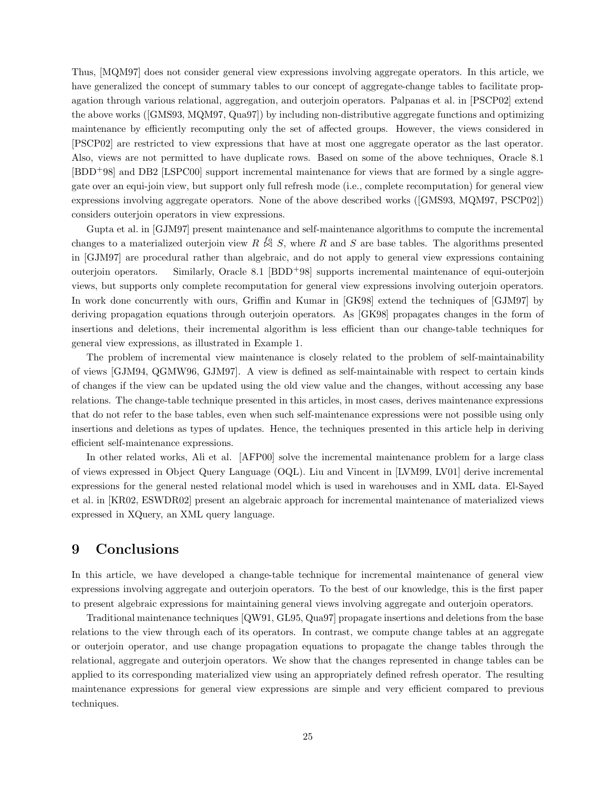Thus, [MQM97] does not consider general view expressions involving aggregate operators. In this article, we have generalized the concept of summary tables to our concept of aggregate-change tables to facilitate propagation through various relational, aggregation, and outerjoin operators. Palpanas et al. in [PSCP02] extend the above works ([GMS93, MQM97, Qua97]) by including non-distributive aggregate functions and optimizing maintenance by efficiently recomputing only the set of affected groups. However, the views considered in [PSCP02] are restricted to view expressions that have at most one aggregate operator as the last operator. Also, views are not permitted to have duplicate rows. Based on some of the above techniques, Oracle 8.1 [BDD<sup>+</sup>98] and DB2 [LSPC00] support incremental maintenance for views that are formed by a single aggregate over an equi-join view, but support only full refresh mode (i.e., complete recomputation) for general view expressions involving aggregate operators. None of the above described works ([GMS93, MQM97, PSCP02]) considers outerjoin operators in view expressions.

Gupta et al. in [GJM97] present maintenance and self-maintenance algorithms to compute the incremental changes to a materialized outerjoin view  $R \nleq S$ , where R and S are base tables. The algorithms presented in [GJM97] are procedural rather than algebraic, and do not apply to general view expressions containing outerjoin operators. Similarly, Oracle 8.1 [BDD+98] supports incremental maintenance of equi-outerjoin views, but supports only complete recomputation for general view expressions involving outerjoin operators. In work done concurrently with ours, Griffin and Kumar in [GK98] extend the techniques of [GJM97] by deriving propagation equations through outerjoin operators. As [GK98] propagates changes in the form of insertions and deletions, their incremental algorithm is less efficient than our change-table techniques for general view expressions, as illustrated in Example 1.

The problem of incremental view maintenance is closely related to the problem of self-maintainability of views [GJM94, QGMW96, GJM97]. A view is defined as self-maintainable with respect to certain kinds of changes if the view can be updated using the old view value and the changes, without accessing any base relations. The change-table technique presented in this articles, in most cases, derives maintenance expressions that do not refer to the base tables, even when such self-maintenance expressions were not possible using only insertions and deletions as types of updates. Hence, the techniques presented in this article help in deriving efficient self-maintenance expressions.

In other related works, Ali et al. [AFP00] solve the incremental maintenance problem for a large class of views expressed in Object Query Language (OQL). Liu and Vincent in [LVM99, LV01] derive incremental expressions for the general nested relational model which is used in warehouses and in XML data. El-Sayed et al. in [KR02, ESWDR02] present an algebraic approach for incremental maintenance of materialized views expressed in XQuery, an XML query language.

# 9 Conclusions

In this article, we have developed a change-table technique for incremental maintenance of general view expressions involving aggregate and outerjoin operators. To the best of our knowledge, this is the first paper to present algebraic expressions for maintaining general views involving aggregate and outerjoin operators.

Traditional maintenance techniques [QW91, GL95, Qua97] propagate insertions and deletions from the base relations to the view through each of its operators. In contrast, we compute change tables at an aggregate or outerjoin operator, and use change propagation equations to propagate the change tables through the relational, aggregate and outerjoin operators. We show that the changes represented in change tables can be applied to its corresponding materialized view using an appropriately defined refresh operator. The resulting maintenance expressions for general view expressions are simple and very efficient compared to previous techniques.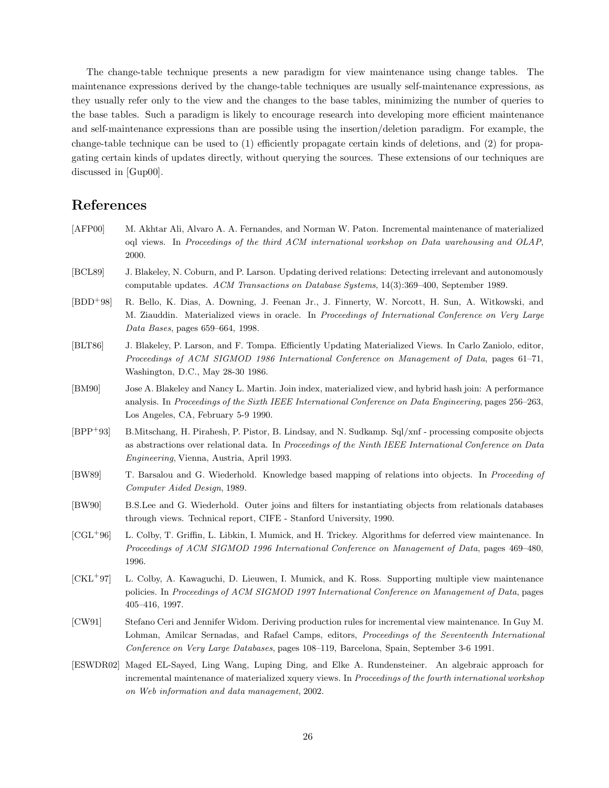The change-table technique presents a new paradigm for view maintenance using change tables. The maintenance expressions derived by the change-table techniques are usually self-maintenance expressions, as they usually refer only to the view and the changes to the base tables, minimizing the number of queries to the base tables. Such a paradigm is likely to encourage research into developing more efficient maintenance and self-maintenance expressions than are possible using the insertion/deletion paradigm. For example, the change-table technique can be used to (1) efficiently propagate certain kinds of deletions, and (2) for propagating certain kinds of updates directly, without querying the sources. These extensions of our techniques are discussed in [Gup00].

# References

- [AFP00] M. Akhtar Ali, Alvaro A. A. Fernandes, and Norman W. Paton. Incremental maintenance of materialized oql views. In Proceedings of the third ACM international workshop on Data warehousing and OLAP, 2000.
- [BCL89] J. Blakeley, N. Coburn, and P. Larson. Updating derived relations: Detecting irrelevant and autonomously computable updates. ACM Transactions on Database Systems, 14(3):369–400, September 1989.
- [BDD<sup>+</sup>98] R. Bello, K. Dias, A. Downing, J. Feenan Jr., J. Finnerty, W. Norcott, H. Sun, A. Witkowski, and M. Ziauddin. Materialized views in oracle. In Proceedings of International Conference on Very Large Data Bases, pages 659–664, 1998.
- [BLT86] J. Blakeley, P. Larson, and F. Tompa. Efficiently Updating Materialized Views. In Carlo Zaniolo, editor, Proceedings of ACM SIGMOD 1986 International Conference on Management of Data, pages 61–71, Washington, D.C., May 28-30 1986.
- [BM90] Jose A. Blakeley and Nancy L. Martin. Join index, materialized view, and hybrid hash join: A performance analysis. In Proceedings of the Sixth IEEE International Conference on Data Engineering, pages 256–263, Los Angeles, CA, February 5-9 1990.
- [BPP<sup>+</sup>93] B.Mitschang, H. Pirahesh, P. Pistor, B. Lindsay, and N. Sudkamp. Sql/xnf processing composite objects as abstractions over relational data. In Proceedings of the Ninth IEEE International Conference on Data Engineering, Vienna, Austria, April 1993.
- [BW89] T. Barsalou and G. Wiederhold. Knowledge based mapping of relations into objects. In Proceeding of Computer Aided Design, 1989.
- [BW90] B.S.Lee and G. Wiederhold. Outer joins and filters for instantiating objects from relationals databases through views. Technical report, CIFE - Stanford University, 1990.
- [CGL<sup>+</sup>96] L. Colby, T. Griffin, L. Libkin, I. Mumick, and H. Trickey. Algorithms for deferred view maintenance. In Proceedings of ACM SIGMOD 1996 International Conference on Management of Data, pages 469–480, 1996.
- [CKL<sup>+</sup>97] L. Colby, A. Kawaguchi, D. Lieuwen, I. Mumick, and K. Ross. Supporting multiple view maintenance policies. In Proceedings of ACM SIGMOD 1997 International Conference on Management of Data, pages 405–416, 1997.
- [CW91] Stefano Ceri and Jennifer Widom. Deriving production rules for incremental view maintenance. In Guy M. Lohman, Amilcar Sernadas, and Rafael Camps, editors, Proceedings of the Seventeenth International Conference on Very Large Databases, pages 108–119, Barcelona, Spain, September 3-6 1991.
- [ESWDR02] Maged EL-Sayed, Ling Wang, Luping Ding, and Elke A. Rundensteiner. An algebraic approach for incremental maintenance of materialized xquery views. In Proceedings of the fourth international workshop on Web information and data management, 2002.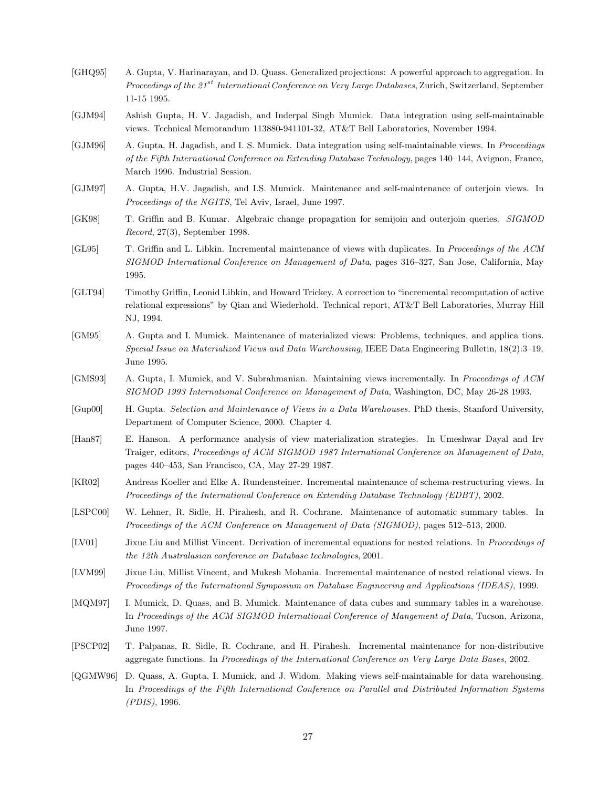- [GHQ95] A. Gupta, V. Harinarayan, and D. Quass. Generalized projections: A powerful approach to aggregation. In Proceedings of the 21<sup>st</sup> International Conference on Very Large Databases, Zurich, Switzerland, September 11-15 1995.
- [GJM94] Ashish Gupta, H. V. Jagadish, and Inderpal Singh Mumick. Data integration using self-maintainable views. Technical Memorandum 113880-941101-32, AT&T Bell Laboratories, November 1994.
- [GJM96] A. Gupta, H. Jagadish, and I. S. Mumick. Data integration using self-maintainable views. In Proceedings of the Fifth International Conference on Extending Database Technology, pages 140–144, Avignon, France, March 1996. Industrial Session.
- [GJM97] A. Gupta, H.V. Jagadish, and I.S. Mumick. Maintenance and self-maintenance of outerjoin views. In Proceedings of the NGITS, Tel Aviv, Israel, June 1997.
- [GK98] T. Griffin and B. Kumar. Algebraic change propagation for semijoin and outerjoin queries. SIGMOD Record, 27(3), September 1998.
- [GL95] T. Griffin and L. Libkin. Incremental maintenance of views with duplicates. In Proceedings of the ACM SIGMOD International Conference on Management of Data, pages 316–327, San Jose, California, May 1995.
- [GLT94] Timothy Griffin, Leonid Libkin, and Howard Trickey. A correction to "incremental recomputation of active relational expressions" by Qian and Wiederhold. Technical report, AT&T Bell Laboratories, Murray Hill NJ, 1994.
- [GM95] A. Gupta and I. Mumick. Maintenance of materialized views: Problems, techniques, and applica tions. Special Issue on Materialized Views and Data Warehousing, IEEE Data Engineering Bulletin, 18(2):3–19, June 1995.
- [GMS93] A. Gupta, I. Mumick, and V. Subrahmanian. Maintaining views incrementally. In Proceedings of ACM SIGMOD 1993 International Conference on Management of Data, Washington, DC, May 26-28 1993.
- [Gup00] H. Gupta. Selection and Maintenance of Views in a Data Warehouses. PhD thesis, Stanford University, Department of Computer Science, 2000. Chapter 4.
- [Han87] E. Hanson. A performance analysis of view materialization strategies. In Umeshwar Dayal and Irv Traiger, editors, Proceedings of ACM SIGMOD 1987 International Conference on Management of Data, pages 440–453, San Francisco, CA, May 27-29 1987.
- [KR02] Andreas Koeller and Elke A. Rundensteiner. Incremental maintenance of schema-restructuring views. In Proceedings of the International Conference on Extending Database Technology (EDBT), 2002.
- [LSPC00] W. Lehner, R. Sidle, H. Pirahesh, and R. Cochrane. Maintenance of automatic summary tables. In Proceedings of the ACM Conference on Management of Data (SIGMOD), pages 512–513, 2000.
- [LV01] Jixue Liu and Millist Vincent. Derivation of incremental equations for nested relations. In Proceedings of the 12th Australasian conference on Database technologies, 2001.
- [LVM99] Jixue Liu, Millist Vincent, and Mukesh Mohania. Incremental maintenance of nested relational views. In Proceedings of the International Symposium on Database Engineering and Applications (IDEAS), 1999.
- [MQM97] I. Mumick, D. Quass, and B. Mumick. Maintenance of data cubes and summary tables in a warehouse. In Proceedings of the ACM SIGMOD International Conference of Mangement of Data, Tucson, Arizona, June 1997.
- [PSCP02] T. Palpanas, R. Sidle, R. Cochrane, and H. Pirahesh. Incremental maintenance for non-distributive aggregate functions. In Proceedings of the International Conference on Very Large Data Bases, 2002.
- [QGMW96] D. Quass, A. Gupta, I. Mumick, and J. Widom. Making views self-maintainable for data warehousing. In Proceedings of the Fifth International Conference on Parallel and Distributed Information Systems (PDIS), 1996.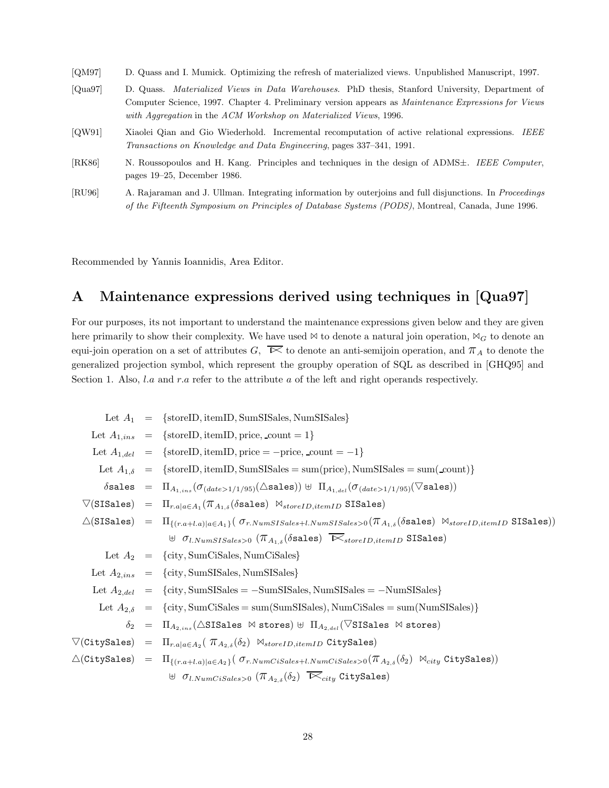- [QM97] D. Quass and I. Mumick. Optimizing the refresh of materialized views. Unpublished Manuscript, 1997.
- [Qua97] D. Quass. Materialized Views in Data Warehouses. PhD thesis, Stanford University, Department of Computer Science, 1997. Chapter 4. Preliminary version appears as Maintenance Expressions for Views with Aggregation in the ACM Workshop on Materialized Views, 1996.
- [QW91] Xiaolei Qian and Gio Wiederhold. Incremental recomputation of active relational expressions. IEEE Transactions on Knowledge and Data Engineering, pages 337–341, 1991.
- [RK86] N. Roussopoulos and H. Kang. Principles and techniques in the design of ADMS±. IEEE Computer, pages 19–25, December 1986.
- [RU96] A. Rajaraman and J. Ullman. Integrating information by outerjoins and full disjunctions. In Proceedings of the Fifteenth Symposium on Principles of Database Systems (PODS), Montreal, Canada, June 1996.

Recommended by Yannis Ioannidis, Area Editor.

# A Maintenance expressions derived using techniques in [Qua97]

For our purposes, its not important to understand the maintenance expressions given below and they are given here primarily to show their complexity. We have used  $\bowtie$  to denote a natural join operation,  $\bowtie_G$  to denote an equi-join operation on a set of attributes  $G$ ,  $\overline{\triangleright}$  to denote an anti-semijoin operation, and  $\pi_A$  to denote the generalized projection symbol, which represent the groupby operation of SQL as described in [GHQ95] and Section 1. Also, *l.a* and *r.a* refer to the attribute a of the left and right operands respectively.

|  | Let $A_1 = {\text{storeID}, \text{itemID}, \text{SumSISales}, \text{NumSISales}}$                                                                                                        |
|--|------------------------------------------------------------------------------------------------------------------------------------------------------------------------------------------|
|  | Let $A_{1,ins}$ = {storeID, itemID, price, count = 1}                                                                                                                                    |
|  | Let $A_{1,del} = {\text{storeID}, \text{itemID}, \text{price}} = -\text{price}, \text{count} = -1$                                                                                       |
|  | Let $A_{1,\delta}$ = {storeID, itemID, SumSISales = sum(price), NumSISales = sum(_count)}                                                                                                |
|  | $\delta$ sales = $\Pi_{A_{1,ins}}(\sigma_{(date>1/1/95)}(\triangle\text{sales})) \cup \Pi_{A_{1,del}}(\sigma_{(date>1/1/95)}(\nabla\text{sales}))$                                       |
|  | $\nabla(SISales) = \Pi_{r.a a \in A_1}(\pi_{A_1,\delta}(\delta sales) \bowtie_{storeID,itemID} SISales)$                                                                                 |
|  | $\triangle$ (SISales) = $\Pi_{\{(r.a+l.a) a\in A_1\}}( \sigma_{r.Num SISales+l.Num SISales>0}(\pi_{A_{1,\delta}}(\delta \text{sales}) \bowtie_{storeID,itemID} \text{SISales}))$         |
|  | $\forall$ $\sigma_{l.NumSI Sales>0}$ ( $\pi_{A_{1,\delta}}$ ( $\delta$ sales) $\overline{\bowtie}_{storeID,itemID}$ SISales)                                                             |
|  | Let $A_2 = \{city, SumCiSales, NumCiSales\}$                                                                                                                                             |
|  | Let $A_{2,ins}$ = {city, SumSISales, NumSISales}                                                                                                                                         |
|  | Let $A_{2,del}$ = {city, SumSISales = -SumSISales, NumSISales = -NumSISales}                                                                                                             |
|  | Let $A_{2,\delta}$ = {city, SumCiSales = sum(SumSISales), NumCiSales = sum(NumSISales)}                                                                                                  |
|  | $\delta_2$ = $\Pi_{A_{2,ins}}(\triangle SISales \bowtie stores) \uplus \Pi_{A_{2,del}}(\triangledown SISales \bowtie stores)$                                                            |
|  | $\begin{array}{lcl} \nabla(\texttt{CitySales}) & = & \Pi_{r.a a \in A_2} (\ \pi_{A_2, \delta}(\delta_2) \ \bowtie_{storeID, itemID} \texttt{CitySales}) \end{array}$                     |
|  | $\triangle({\tt CitySales}) \;\; = \;\; \Pi_{\{(r.a+l.a) \mid a \in A_2 \}}(\; \sigma_{r.Num CiSales+l.Num CiSales>0}(\pi_{A_2, \delta}(\delta_2) \;\; \bowtie_{city} {\tt CitySales}))$ |
|  | $\forall$ $\sigma_{l.\textit{NumC} is a less > 0}$ ( $\pi_{A_{2,\delta}}(\delta_2)$ $\overline{\bowtie}_{city}$ CitySales)                                                               |